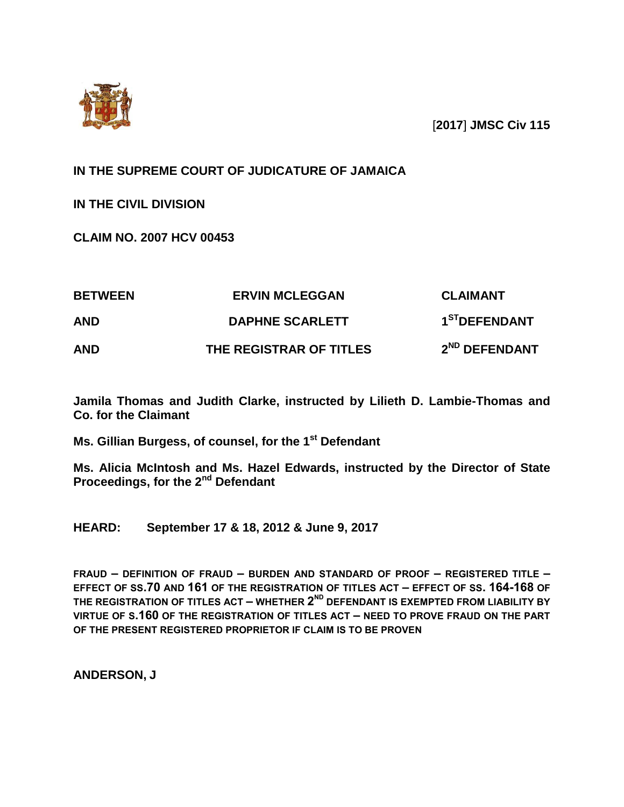

[**2017**] **JMSC Civ 115**

# **IN THE SUPREME COURT OF JUDICATURE OF JAMAICA**

**IN THE CIVIL DIVISION**

**CLAIM NO. 2007 HCV 00453**

| <b>BETWEEN</b><br>AND | <b>ERVIN MCLEGGAN</b><br><b>DAPHNE SCARLETT</b> | <b>CLAIMANT</b><br>1 <sup>ST</sup> DEFENDANT |
|-----------------------|-------------------------------------------------|----------------------------------------------|
|                       |                                                 |                                              |

**Jamila Thomas and Judith Clarke, instructed by Lilieth D. Lambie-Thomas and Co. for the Claimant**

**Ms. Gillian Burgess, of counsel, for the 1st Defendant**

**Ms. Alicia McIntosh and Ms. Hazel Edwards, instructed by the Director of State Proceedings, for the 2nd Defendant**

**HEARD: September 17 & 18, 2012 & June 9, 2017**

**FRAUD – DEFINITION OF FRAUD – BURDEN AND STANDARD OF PROOF – REGISTERED TITLE – EFFECT OF SS.70 AND 161 OF THE REGISTRATION OF TITLES ACT – EFFECT OF SS. 164-168 OF THE REGISTRATION OF TITLES ACT – WHETHER 2 ND DEFENDANT IS EXEMPTED FROM LIABILITY BY VIRTUE OF S.160 OF THE REGISTRATION OF TITLES ACT – NEED TO PROVE FRAUD ON THE PART OF THE PRESENT REGISTERED PROPRIETOR IF CLAIM IS TO BE PROVEN**

**ANDERSON, J**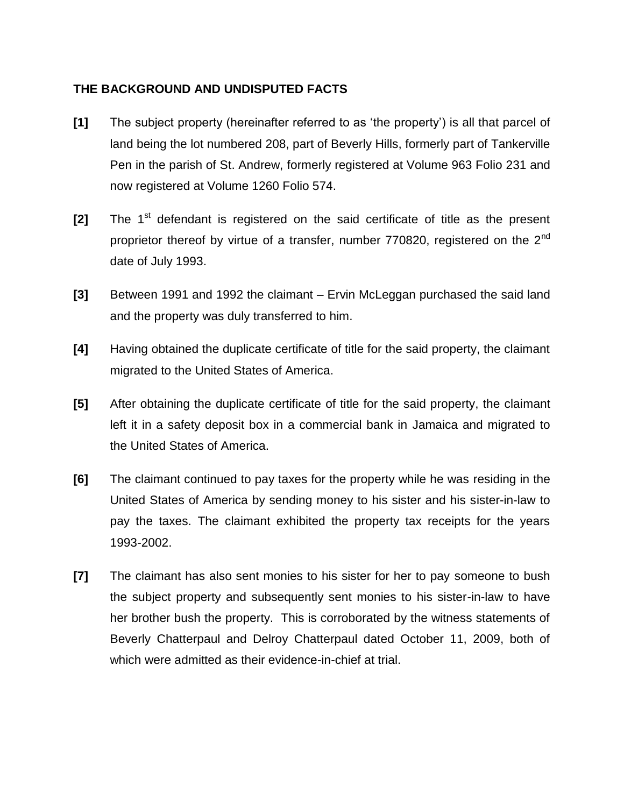# **THE BACKGROUND AND UNDISPUTED FACTS**

- **[1]** The subject property (hereinafter referred to as 'the property') is all that parcel of land being the lot numbered 208, part of Beverly Hills, formerly part of Tankerville Pen in the parish of St. Andrew, formerly registered at Volume 963 Folio 231 and now registered at Volume 1260 Folio 574.
- **[2]** The 1<sup>st</sup> defendant is registered on the said certificate of title as the present proprietor thereof by virtue of a transfer, number 770820, registered on the  $2^{nd}$ date of July 1993.
- **[3]** Between 1991 and 1992 the claimant Ervin McLeggan purchased the said land and the property was duly transferred to him.
- **[4]** Having obtained the duplicate certificate of title for the said property, the claimant migrated to the United States of America.
- **[5]** After obtaining the duplicate certificate of title for the said property, the claimant left it in a safety deposit box in a commercial bank in Jamaica and migrated to the United States of America.
- **[6]** The claimant continued to pay taxes for the property while he was residing in the United States of America by sending money to his sister and his sister-in-law to pay the taxes. The claimant exhibited the property tax receipts for the years 1993-2002.
- **[7]** The claimant has also sent monies to his sister for her to pay someone to bush the subject property and subsequently sent monies to his sister-in-law to have her brother bush the property. This is corroborated by the witness statements of Beverly Chatterpaul and Delroy Chatterpaul dated October 11, 2009, both of which were admitted as their evidence-in-chief at trial.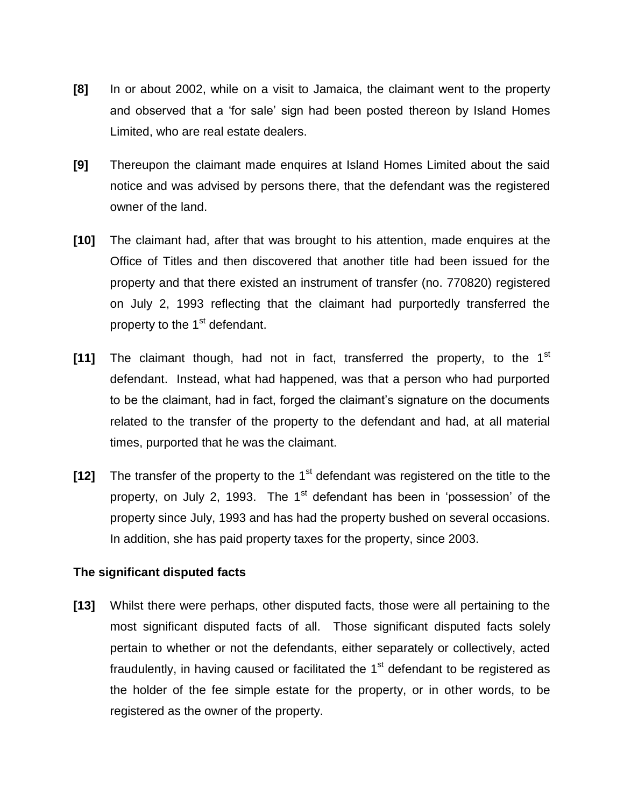- **[8]** In or about 2002, while on a visit to Jamaica, the claimant went to the property and observed that a 'for sale' sign had been posted thereon by Island Homes Limited, who are real estate dealers.
- **[9]** Thereupon the claimant made enquires at Island Homes Limited about the said notice and was advised by persons there, that the defendant was the registered owner of the land.
- **[10]** The claimant had, after that was brought to his attention, made enquires at the Office of Titles and then discovered that another title had been issued for the property and that there existed an instrument of transfer (no. 770820) registered on July 2, 1993 reflecting that the claimant had purportedly transferred the property to the 1<sup>st</sup> defendant.
- **[11]** The claimant though, had not in fact, transferred the property, to the 1st defendant. Instead, what had happened, was that a person who had purported to be the claimant, had in fact, forged the claimant's signature on the documents related to the transfer of the property to the defendant and had, at all material times, purported that he was the claimant.
- **[12]** The transfer of the property to the 1<sup>st</sup> defendant was registered on the title to the property, on July 2, 1993. The 1<sup>st</sup> defendant has been in 'possession' of the property since July, 1993 and has had the property bushed on several occasions. In addition, she has paid property taxes for the property, since 2003.

## **The significant disputed facts**

**[13]** Whilst there were perhaps, other disputed facts, those were all pertaining to the most significant disputed facts of all. Those significant disputed facts solely pertain to whether or not the defendants, either separately or collectively, acted fraudulently, in having caused or facilitated the  $1<sup>st</sup>$  defendant to be registered as the holder of the fee simple estate for the property, or in other words, to be registered as the owner of the property.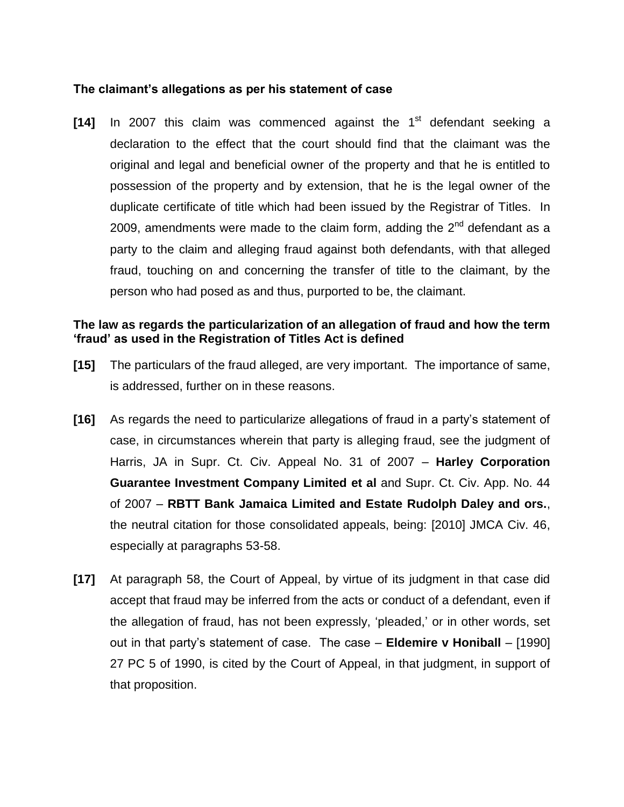#### **The claimant's allegations as per his statement of case**

**[14]** In 2007 this claim was commenced against the 1<sup>st</sup> defendant seeking a declaration to the effect that the court should find that the claimant was the original and legal and beneficial owner of the property and that he is entitled to possession of the property and by extension, that he is the legal owner of the duplicate certificate of title which had been issued by the Registrar of Titles. In 2009, amendments were made to the claim form, adding the  $2^{nd}$  defendant as a party to the claim and alleging fraud against both defendants, with that alleged fraud, touching on and concerning the transfer of title to the claimant, by the person who had posed as and thus, purported to be, the claimant.

## **The law as regards the particularization of an allegation of fraud and how the term 'fraud' as used in the Registration of Titles Act is defined**

- **[15]** The particulars of the fraud alleged, are very important. The importance of same, is addressed, further on in these reasons.
- **[16]** As regards the need to particularize allegations of fraud in a party's statement of case, in circumstances wherein that party is alleging fraud, see the judgment of Harris, JA in Supr. Ct. Civ. Appeal No. 31 of 2007 – **Harley Corporation Guarantee Investment Company Limited et al** and Supr. Ct. Civ. App. No. 44 of 2007 – **RBTT Bank Jamaica Limited and Estate Rudolph Daley and ors.**, the neutral citation for those consolidated appeals, being: [2010] JMCA Civ. 46, especially at paragraphs 53-58.
- **[17]** At paragraph 58, the Court of Appeal, by virtue of its judgment in that case did accept that fraud may be inferred from the acts or conduct of a defendant, even if the allegation of fraud, has not been expressly, 'pleaded,' or in other words, set out in that party's statement of case. The case – **Eldemire v Honiball** – [1990] 27 PC 5 of 1990, is cited by the Court of Appeal, in that judgment, in support of that proposition.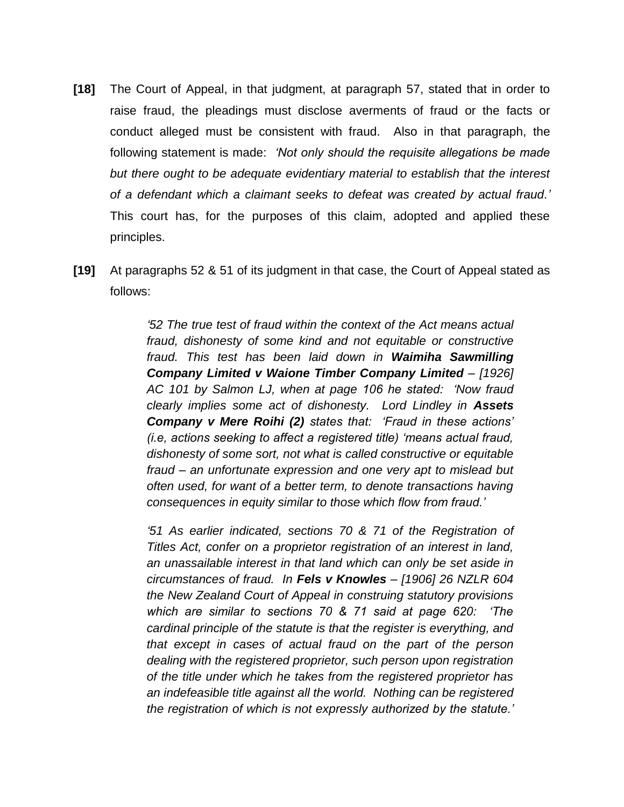- **[18]** The Court of Appeal, in that judgment, at paragraph 57, stated that in order to raise fraud, the pleadings must disclose averments of fraud or the facts or conduct alleged must be consistent with fraud. Also in that paragraph, the following statement is made: *'Not only should the requisite allegations be made but there ought to be adequate evidentiary material to establish that the interest of a defendant which a claimant seeks to defeat was created by actual fraud.'* This court has, for the purposes of this claim, adopted and applied these principles.
- **[19]** At paragraphs 52 & 51 of its judgment in that case, the Court of Appeal stated as follows:

*'52 The true test of fraud within the context of the Act means actual fraud, dishonesty of some kind and not equitable or constructive fraud. This test has been laid down in Waimiha Sawmilling Company Limited v Waione Timber Company Limited – [1926] AC 101 by Salmon LJ, when at page 106 he stated: 'Now fraud clearly implies some act of dishonesty. Lord Lindley in Assets Company v Mere Roihi (2) states that: 'Fraud in these actions' (i.e, actions seeking to affect a registered title) 'means actual fraud, dishonesty of some sort, not what is called constructive or equitable fraud – an unfortunate expression and one very apt to mislead but often used, for want of a better term, to denote transactions having consequences in equity similar to those which flow from fraud.'*

*'51 As earlier indicated, sections 70 & 71 of the Registration of Titles Act, confer on a proprietor registration of an interest in land, an unassailable interest in that land which can only be set aside in circumstances of fraud. In Fels v Knowles – [1906] 26 NZLR 604 the New Zealand Court of Appeal in construing statutory provisions which are similar to sections 70 & 71 said at page 620: 'The cardinal principle of the statute is that the register is everything, and that except in cases of actual fraud on the part of the person dealing with the registered proprietor, such person upon registration of the title under which he takes from the registered proprietor has an indefeasible title against all the world. Nothing can be registered the registration of which is not expressly authorized by the statute.'*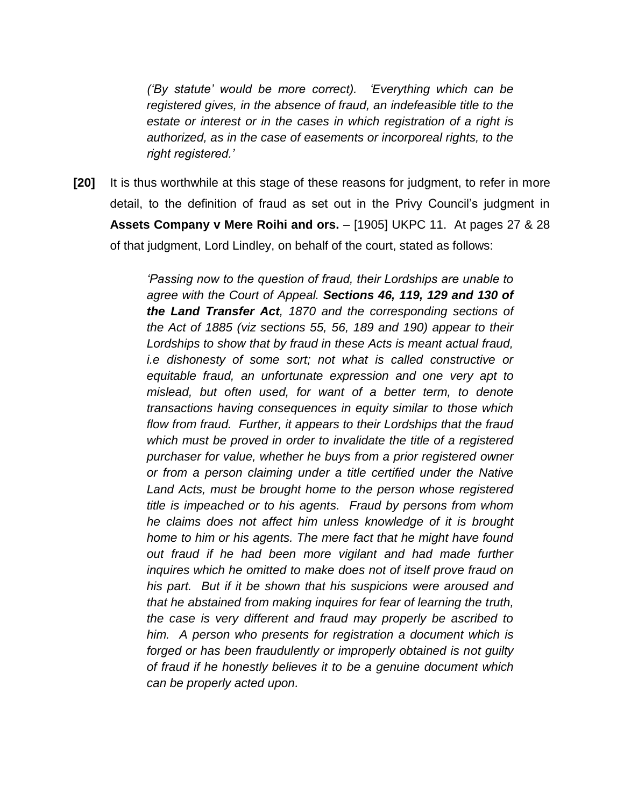*('By statute' would be more correct). 'Everything which can be registered gives, in the absence of fraud, an indefeasible title to the estate or interest or in the cases in which registration of a right is authorized, as in the case of easements or incorporeal rights, to the right registered.'*

**[20]** It is thus worthwhile at this stage of these reasons for judgment, to refer in more detail, to the definition of fraud as set out in the Privy Council's judgment in **Assets Company v Mere Roihi and ors.** – [1905] UKPC 11. At pages 27 & 28 of that judgment, Lord Lindley, on behalf of the court, stated as follows:

> *'Passing now to the question of fraud, their Lordships are unable to agree with the Court of Appeal. Sections 46, 119, 129 and 130 of the Land Transfer Act, 1870 and the corresponding sections of the Act of 1885 (viz sections 55, 56, 189 and 190) appear to their Lordships to show that by fraud in these Acts is meant actual fraud, i.e dishonesty of some sort; not what is called constructive or equitable fraud, an unfortunate expression and one very apt to mislead, but often used, for want of a better term, to denote transactions having consequences in equity similar to those which flow from fraud. Further, it appears to their Lordships that the fraud which must be proved in order to invalidate the title of a registered purchaser for value, whether he buys from a prior registered owner or from a person claiming under a title certified under the Native Land Acts, must be brought home to the person whose registered title is impeached or to his agents. Fraud by persons from whom he claims does not affect him unless knowledge of it is brought home to him or his agents. The mere fact that he might have found out fraud if he had been more vigilant and had made further inquires which he omitted to make does not of itself prove fraud on his part. But if it be shown that his suspicions were aroused and that he abstained from making inquires for fear of learning the truth, the case is very different and fraud may properly be ascribed to him. A person who presents for registration a document which is forged or has been fraudulently or improperly obtained is not guilty of fraud if he honestly believes it to be a genuine document which can be properly acted upon.*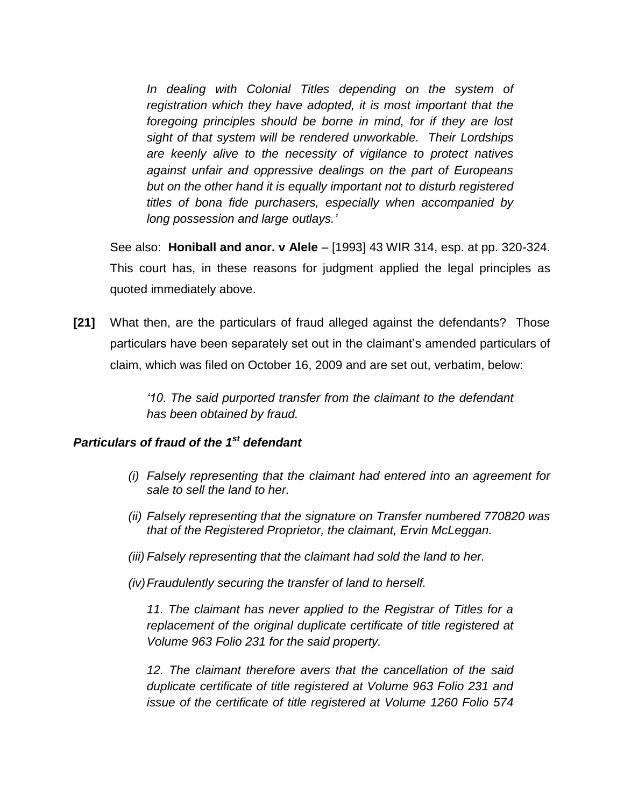In dealing with Colonial Titles depending on the system of *registration which they have adopted, it is most important that the foregoing principles should be borne in mind, for if they are lost sight of that system will be rendered unworkable. Their Lordships are keenly alive to the necessity of vigilance to protect natives against unfair and oppressive dealings on the part of Europeans but on the other hand it is equally important not to disturb registered titles of bona fide purchasers, especially when accompanied by long possession and large outlays.'*

See also: **Honiball and anor. v Alele** – [1993] 43 WIR 314, esp. at pp. 320-324. This court has, in these reasons for judgment applied the legal principles as quoted immediately above.

**[21]** What then, are the particulars of fraud alleged against the defendants? Those particulars have been separately set out in the claimant's amended particulars of claim, which was filed on October 16, 2009 and are set out, verbatim, below:

> *'10. The said purported transfer from the claimant to the defendant has been obtained by fraud.*

## *Particulars of fraud of the 1st defendant*

- *(i) Falsely representing that the claimant had entered into an agreement for sale to sell the land to her.*
- *(ii) Falsely representing that the signature on Transfer numbered 770820 was that of the Registered Proprietor, the claimant, Ervin McLeggan.*
- *(iii) Falsely representing that the claimant had sold the land to her.*
- *(iv)Fraudulently securing the transfer of land to herself.*

*11. The claimant has never applied to the Registrar of Titles for a replacement of the original duplicate certificate of title registered at Volume 963 Folio 231 for the said property.*

*12. The claimant therefore avers that the cancellation of the said duplicate certificate of title registered at Volume 963 Folio 231 and issue of the certificate of title registered at Volume 1260 Folio 574*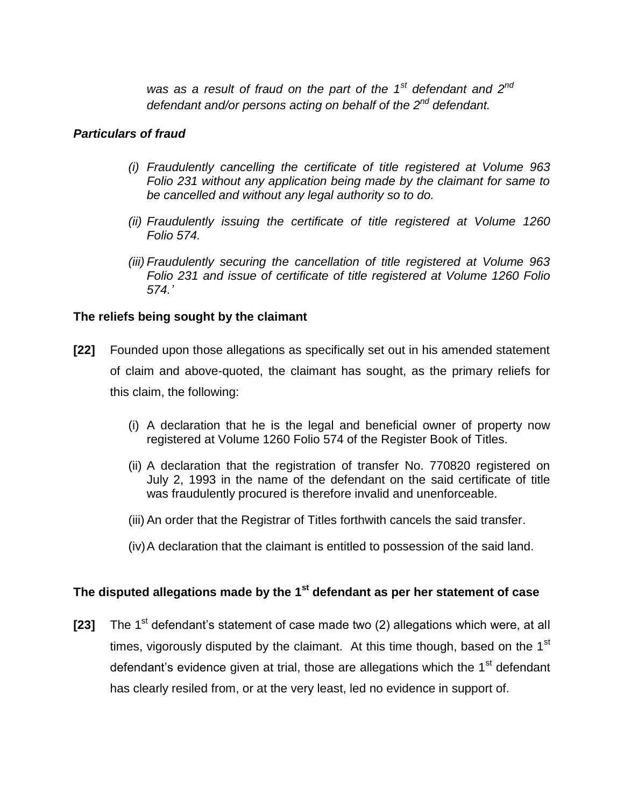*was as a result of fraud on the part of the 1st defendant and 2nd defendant and/or persons acting on behalf of the 2nd defendant.*

## *Particulars of fraud*

- *(i) Fraudulently cancelling the certificate of title registered at Volume 963 Folio 231 without any application being made by the claimant for same to be cancelled and without any legal authority so to do.*
- *(ii) Fraudulently issuing the certificate of title registered at Volume 1260 Folio 574.*
- *(iii) Fraudulently securing the cancellation of title registered at Volume 963 Folio 231 and issue of certificate of title registered at Volume 1260 Folio 574.'*

# **The reliefs being sought by the claimant**

- **[22]** Founded upon those allegations as specifically set out in his amended statement of claim and above-quoted, the claimant has sought, as the primary reliefs for this claim, the following:
	- (i) A declaration that he is the legal and beneficial owner of property now registered at Volume 1260 Folio 574 of the Register Book of Titles.
	- (ii) A declaration that the registration of transfer No. 770820 registered on July 2, 1993 in the name of the defendant on the said certificate of title was fraudulently procured is therefore invalid and unenforceable.
	- (iii) An order that the Registrar of Titles forthwith cancels the said transfer.
	- (iv)A declaration that the claimant is entitled to possession of the said land.

# **The disputed allegations made by the 1st defendant as per her statement of case**

**[23]** The 1<sup>st</sup> defendant's statement of case made two (2) allegations which were, at all times, vigorously disputed by the claimant. At this time though, based on the 1<sup>st</sup> defendant's evidence given at trial, those are allegations which the 1<sup>st</sup> defendant has clearly resiled from, or at the very least, led no evidence in support of.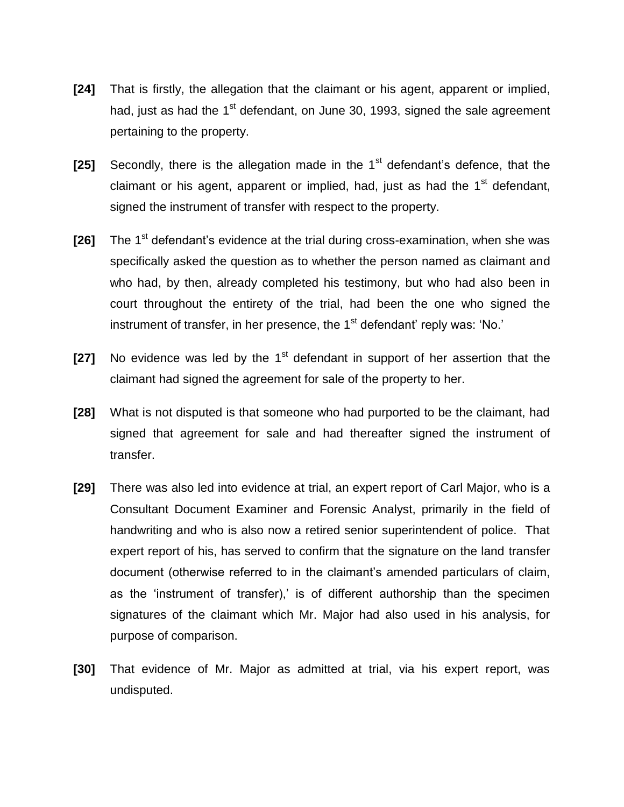- **[24]** That is firstly, the allegation that the claimant or his agent, apparent or implied, had, just as had the  $1<sup>st</sup>$  defendant, on June 30, 1993, signed the sale agreement pertaining to the property.
- **[25]** Secondly, there is the allegation made in the 1<sup>st</sup> defendant's defence, that the claimant or his agent, apparent or implied, had, just as had the  $1<sup>st</sup>$  defendant. signed the instrument of transfer with respect to the property.
- [26] The 1<sup>st</sup> defendant's evidence at the trial during cross-examination, when she was specifically asked the question as to whether the person named as claimant and who had, by then, already completed his testimony, but who had also been in court throughout the entirety of the trial, had been the one who signed the instrument of transfer, in her presence, the 1<sup>st</sup> defendant' reply was: 'No.'
- **[27]** No evidence was led by the 1<sup>st</sup> defendant in support of her assertion that the claimant had signed the agreement for sale of the property to her.
- **[28]** What is not disputed is that someone who had purported to be the claimant, had signed that agreement for sale and had thereafter signed the instrument of transfer.
- **[29]** There was also led into evidence at trial, an expert report of Carl Major, who is a Consultant Document Examiner and Forensic Analyst, primarily in the field of handwriting and who is also now a retired senior superintendent of police. That expert report of his, has served to confirm that the signature on the land transfer document (otherwise referred to in the claimant's amended particulars of claim, as the 'instrument of transfer),' is of different authorship than the specimen signatures of the claimant which Mr. Major had also used in his analysis, for purpose of comparison.
- **[30]** That evidence of Mr. Major as admitted at trial, via his expert report, was undisputed.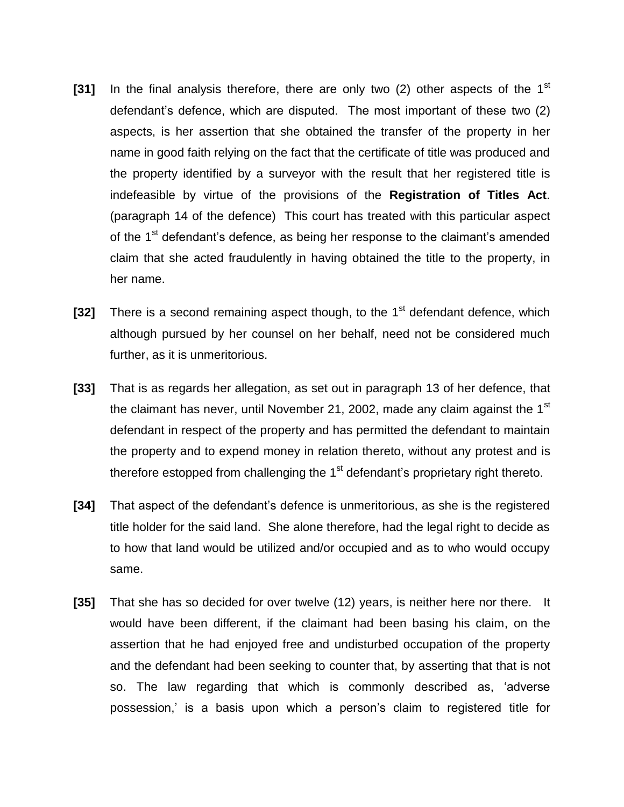- **[31]** In the final analysis therefore, there are only two (2) other aspects of the 1<sup>st</sup> defendant's defence, which are disputed. The most important of these two (2) aspects, is her assertion that she obtained the transfer of the property in her name in good faith relying on the fact that the certificate of title was produced and the property identified by a surveyor with the result that her registered title is indefeasible by virtue of the provisions of the **Registration of Titles Act**. (paragraph 14 of the defence) This court has treated with this particular aspect of the 1<sup>st</sup> defendant's defence, as being her response to the claimant's amended claim that she acted fraudulently in having obtained the title to the property, in her name.
- **[32]** There is a second remaining aspect though, to the 1<sup>st</sup> defendant defence, which although pursued by her counsel on her behalf, need not be considered much further, as it is unmeritorious.
- **[33]** That is as regards her allegation, as set out in paragraph 13 of her defence, that the claimant has never, until November 21, 2002, made any claim against the  $1<sup>st</sup>$ defendant in respect of the property and has permitted the defendant to maintain the property and to expend money in relation thereto, without any protest and is therefore estopped from challenging the  $1<sup>st</sup>$  defendant's proprietary right thereto.
- **[34]** That aspect of the defendant's defence is unmeritorious, as she is the registered title holder for the said land. She alone therefore, had the legal right to decide as to how that land would be utilized and/or occupied and as to who would occupy same.
- **[35]** That she has so decided for over twelve (12) years, is neither here nor there. It would have been different, if the claimant had been basing his claim, on the assertion that he had enjoyed free and undisturbed occupation of the property and the defendant had been seeking to counter that, by asserting that that is not so. The law regarding that which is commonly described as, 'adverse possession,' is a basis upon which a person's claim to registered title for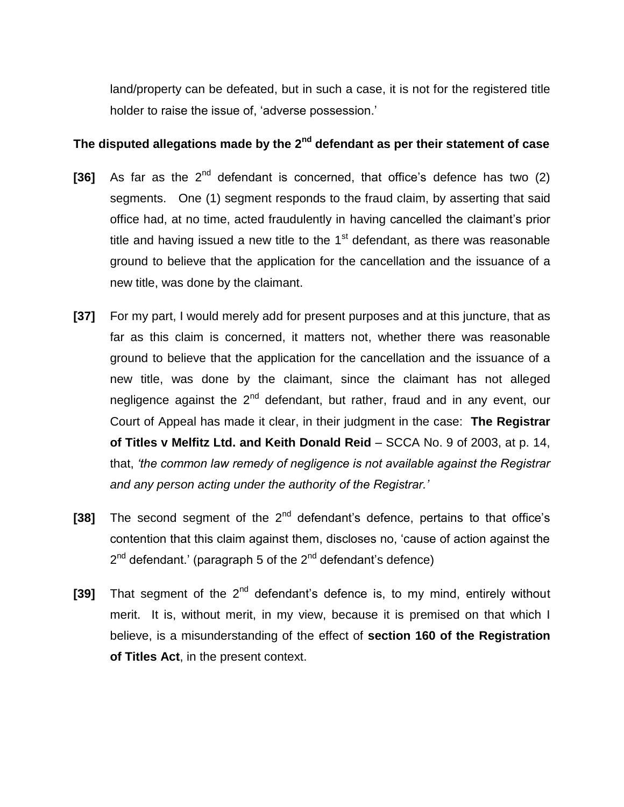land/property can be defeated, but in such a case, it is not for the registered title holder to raise the issue of, 'adverse possession.'

# **The disputed allegations made by the 2nd defendant as per their statement of case**

- [36] As far as the 2<sup>nd</sup> defendant is concerned, that office's defence has two (2) segments. One (1) segment responds to the fraud claim, by asserting that said office had, at no time, acted fraudulently in having cancelled the claimant's prior title and having issued a new title to the  $1<sup>st</sup>$  defendant, as there was reasonable ground to believe that the application for the cancellation and the issuance of a new title, was done by the claimant.
- **[37]** For my part, I would merely add for present purposes and at this juncture, that as far as this claim is concerned, it matters not, whether there was reasonable ground to believe that the application for the cancellation and the issuance of a new title, was done by the claimant, since the claimant has not alleged negligence against the  $2^{nd}$  defendant, but rather, fraud and in any event, our Court of Appeal has made it clear, in their judgment in the case: **The Registrar of Titles v Melfitz Ltd. and Keith Donald Reid** – SCCA No. 9 of 2003, at p. 14, that, *'the common law remedy of negligence is not available against the Registrar and any person acting under the authority of the Registrar.'*
- [38] The second segment of the 2<sup>nd</sup> defendant's defence, pertains to that office's contention that this claim against them, discloses no, 'cause of action against the 2<sup>nd</sup> defendant.' (paragraph 5 of the 2<sup>nd</sup> defendant's defence)
- [39] That segment of the 2<sup>nd</sup> defendant's defence is, to my mind, entirely without merit. It is, without merit, in my view, because it is premised on that which I believe, is a misunderstanding of the effect of **section 160 of the Registration of Titles Act**, in the present context.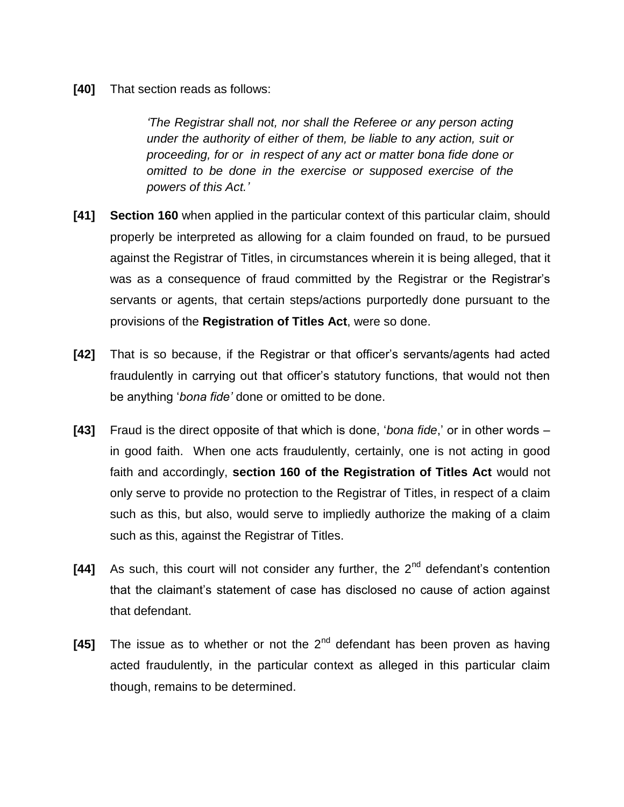**[40]** That section reads as follows:

*'The Registrar shall not, nor shall the Referee or any person acting under the authority of either of them, be liable to any action, suit or proceeding, for or in respect of any act or matter bona fide done or omitted to be done in the exercise or supposed exercise of the powers of this Act.'*

- **[41] Section 160** when applied in the particular context of this particular claim, should properly be interpreted as allowing for a claim founded on fraud, to be pursued against the Registrar of Titles, in circumstances wherein it is being alleged, that it was as a consequence of fraud committed by the Registrar or the Registrar's servants or agents, that certain steps/actions purportedly done pursuant to the provisions of the **Registration of Titles Act**, were so done.
- **[42]** That is so because, if the Registrar or that officer's servants/agents had acted fraudulently in carrying out that officer's statutory functions, that would not then be anything '*bona fide'* done or omitted to be done.
- **[43]** Fraud is the direct opposite of that which is done, '*bona fide*,' or in other words in good faith. When one acts fraudulently, certainly, one is not acting in good faith and accordingly, **section 160 of the Registration of Titles Act** would not only serve to provide no protection to the Registrar of Titles, in respect of a claim such as this, but also, would serve to impliedly authorize the making of a claim such as this, against the Registrar of Titles.
- **[44]** As such, this court will not consider any further, the 2<sup>nd</sup> defendant's contention that the claimant's statement of case has disclosed no cause of action against that defendant.
- **[45]** The issue as to whether or not the 2<sup>nd</sup> defendant has been proven as having acted fraudulently, in the particular context as alleged in this particular claim though, remains to be determined.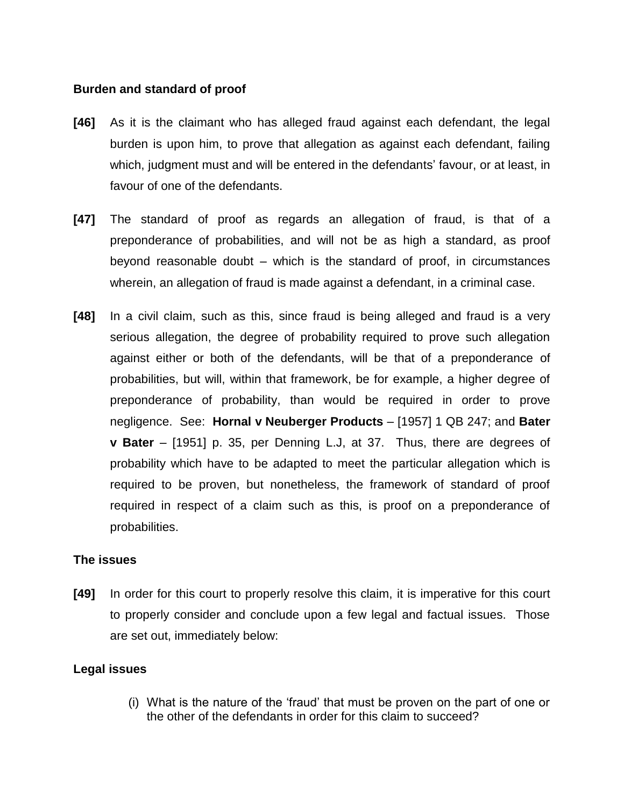#### **Burden and standard of proof**

- **[46]** As it is the claimant who has alleged fraud against each defendant, the legal burden is upon him, to prove that allegation as against each defendant, failing which, judgment must and will be entered in the defendants' favour, or at least, in favour of one of the defendants.
- **[47]** The standard of proof as regards an allegation of fraud, is that of a preponderance of probabilities, and will not be as high a standard, as proof beyond reasonable doubt – which is the standard of proof, in circumstances wherein, an allegation of fraud is made against a defendant, in a criminal case.
- **[48]** In a civil claim, such as this, since fraud is being alleged and fraud is a very serious allegation, the degree of probability required to prove such allegation against either or both of the defendants, will be that of a preponderance of probabilities, but will, within that framework, be for example, a higher degree of preponderance of probability, than would be required in order to prove negligence. See: **Hornal v Neuberger Products** – [1957] 1 QB 247; and **Bater v Bater** – [1951] p. 35, per Denning L.J, at 37. Thus, there are degrees of probability which have to be adapted to meet the particular allegation which is required to be proven, but nonetheless, the framework of standard of proof required in respect of a claim such as this, is proof on a preponderance of probabilities.

## **The issues**

**[49]** In order for this court to properly resolve this claim, it is imperative for this court to properly consider and conclude upon a few legal and factual issues. Those are set out, immediately below:

## **Legal issues**

(i) What is the nature of the 'fraud' that must be proven on the part of one or the other of the defendants in order for this claim to succeed?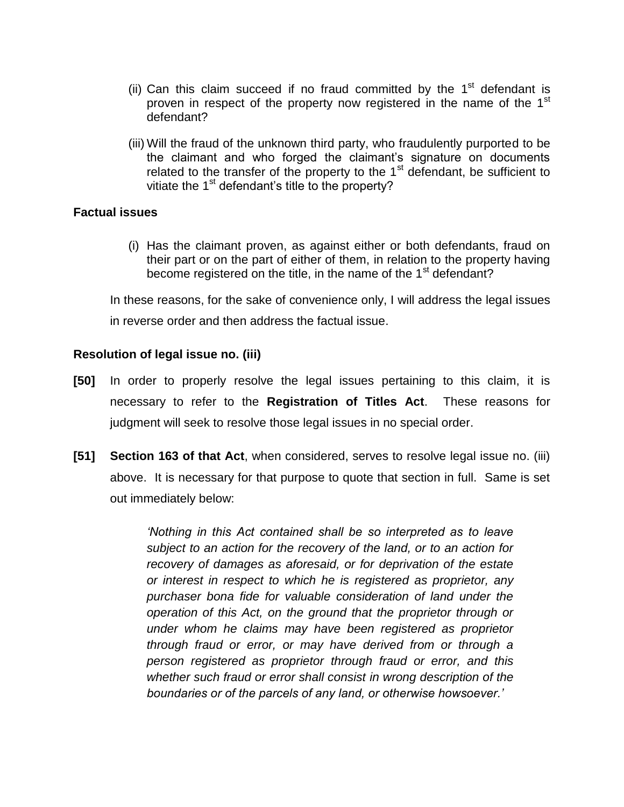- (ii) Can this claim succeed if no fraud committed by the  $1<sup>st</sup>$  defendant is proven in respect of the property now registered in the name of the 1<sup>st</sup> defendant?
- (iii) Will the fraud of the unknown third party, who fraudulently purported to be the claimant and who forged the claimant's signature on documents related to the transfer of the property to the  $1<sup>st</sup>$  defendant, be sufficient to vitiate the 1<sup>st</sup> defendant's title to the property?

#### **Factual issues**

(i) Has the claimant proven, as against either or both defendants, fraud on their part or on the part of either of them, in relation to the property having become registered on the title, in the name of the 1<sup>st</sup> defendant?

In these reasons, for the sake of convenience only, I will address the legal issues in reverse order and then address the factual issue.

#### **Resolution of legal issue no. (iii)**

- **[50]** In order to properly resolve the legal issues pertaining to this claim, it is necessary to refer to the **Registration of Titles Act**. These reasons for judgment will seek to resolve those legal issues in no special order.
- **[51] Section 163 of that Act**, when considered, serves to resolve legal issue no. (iii) above. It is necessary for that purpose to quote that section in full. Same is set out immediately below:

*'Nothing in this Act contained shall be so interpreted as to leave subject to an action for the recovery of the land, or to an action for recovery of damages as aforesaid, or for deprivation of the estate or interest in respect to which he is registered as proprietor, any purchaser bona fide for valuable consideration of land under the operation of this Act, on the ground that the proprietor through or under whom he claims may have been registered as proprietor through fraud or error, or may have derived from or through a person registered as proprietor through fraud or error, and this whether such fraud or error shall consist in wrong description of the boundaries or of the parcels of any land, or otherwise howsoever.'*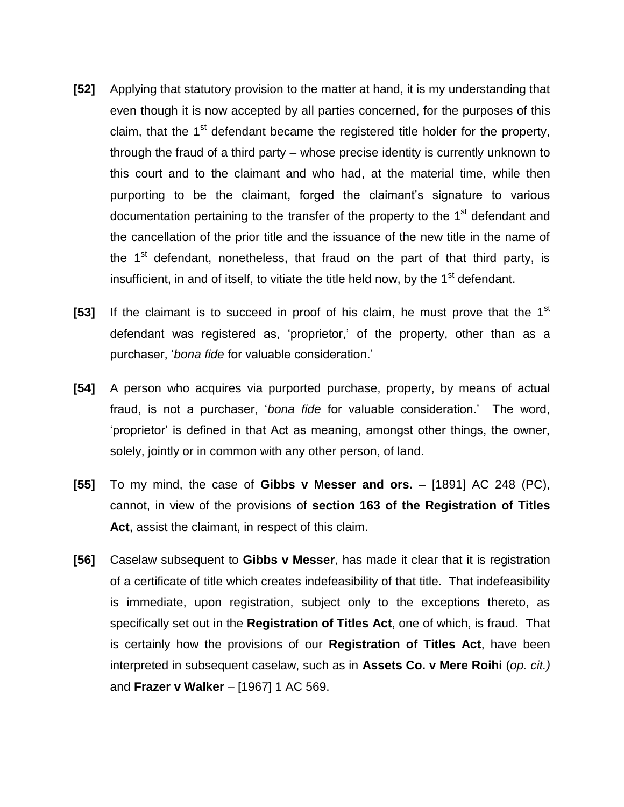- **[52]** Applying that statutory provision to the matter at hand, it is my understanding that even though it is now accepted by all parties concerned, for the purposes of this claim, that the  $1<sup>st</sup>$  defendant became the registered title holder for the property, through the fraud of a third party – whose precise identity is currently unknown to this court and to the claimant and who had, at the material time, while then purporting to be the claimant, forged the claimant's signature to various documentation pertaining to the transfer of the property to the 1<sup>st</sup> defendant and the cancellation of the prior title and the issuance of the new title in the name of the  $1<sup>st</sup>$  defendant, nonetheless, that fraud on the part of that third party, is insufficient, in and of itself, to vitiate the title held now, by the  $1<sup>st</sup>$  defendant.
- [53] If the claimant is to succeed in proof of his claim, he must prove that the 1<sup>st</sup> defendant was registered as, 'proprietor,' of the property, other than as a purchaser, '*bona fide* for valuable consideration.'
- **[54]** A person who acquires via purported purchase, property, by means of actual fraud, is not a purchaser, '*bona fide* for valuable consideration.' The word, 'proprietor' is defined in that Act as meaning, amongst other things, the owner, solely, jointly or in common with any other person, of land.
- **[55]** To my mind, the case of **Gibbs v Messer and ors.** [1891] AC 248 (PC), cannot, in view of the provisions of **section 163 of the Registration of Titles Act**, assist the claimant, in respect of this claim.
- **[56]** Caselaw subsequent to **Gibbs v Messer**, has made it clear that it is registration of a certificate of title which creates indefeasibility of that title. That indefeasibility is immediate, upon registration, subject only to the exceptions thereto, as specifically set out in the **Registration of Titles Act**, one of which, is fraud. That is certainly how the provisions of our **Registration of Titles Act**, have been interpreted in subsequent caselaw, such as in **Assets Co. v Mere Roihi** (*op. cit.)* and **Frazer v Walker** – [1967] 1 AC 569.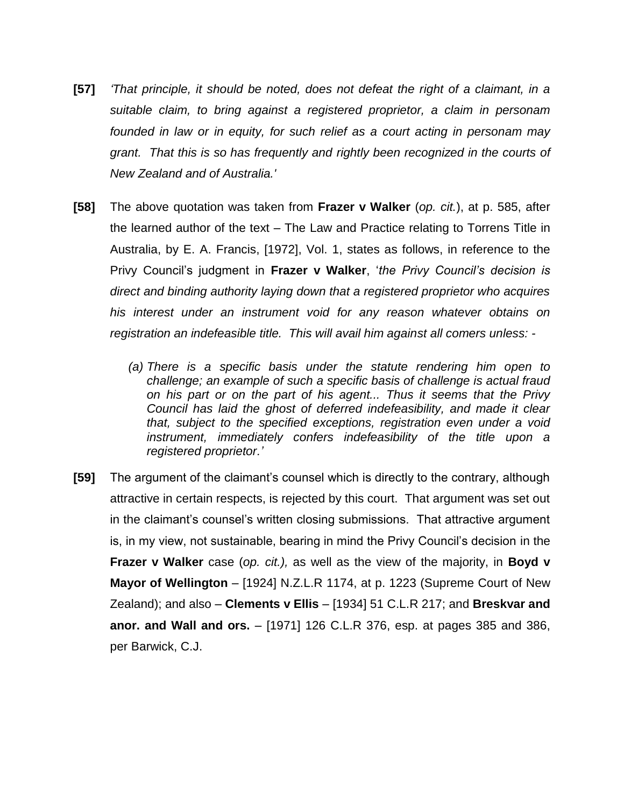- **[57]** *'That principle, it should be noted, does not defeat the right of a claimant, in a suitable claim, to bring against a registered proprietor, a claim in personam founded in law or in equity, for such relief as a court acting in personam may grant. That this is so has frequently and rightly been recognized in the courts of New Zealand and of Australia.'*
- **[58]** The above quotation was taken from **Frazer v Walker** (*op. cit.*), at p. 585, after the learned author of the text – The Law and Practice relating to Torrens Title in Australia, by E. A. Francis, [1972], Vol. 1, states as follows, in reference to the Privy Council's judgment in **Frazer v Walker**, '*the Privy Council's decision is direct and binding authority laying down that a registered proprietor who acquires his interest under an instrument void for any reason whatever obtains on registration an indefeasible title. This will avail him against all comers unless: -*
	- *(a) There is a specific basis under the statute rendering him open to challenge; an example of such a specific basis of challenge is actual fraud on his part or on the part of his agent... Thus it seems that the Privy Council has laid the ghost of deferred indefeasibility, and made it clear that, subject to the specified exceptions, registration even under a void instrument, immediately confers indefeasibility of the title upon a registered proprietor.'*
- **[59]** The argument of the claimant's counsel which is directly to the contrary, although attractive in certain respects, is rejected by this court. That argument was set out in the claimant's counsel's written closing submissions. That attractive argument is, in my view, not sustainable, bearing in mind the Privy Council's decision in the **Frazer v Walker** case (*op. cit.),* as well as the view of the majority, in **Boyd v Mayor of Wellington** – [1924] N.Z.L.R 1174, at p. 1223 (Supreme Court of New Zealand); and also – **Clements v Ellis** – [1934] 51 C.L.R 217; and **Breskvar and anor. and Wall and ors.** – [1971] 126 C.L.R 376, esp. at pages 385 and 386, per Barwick, C.J.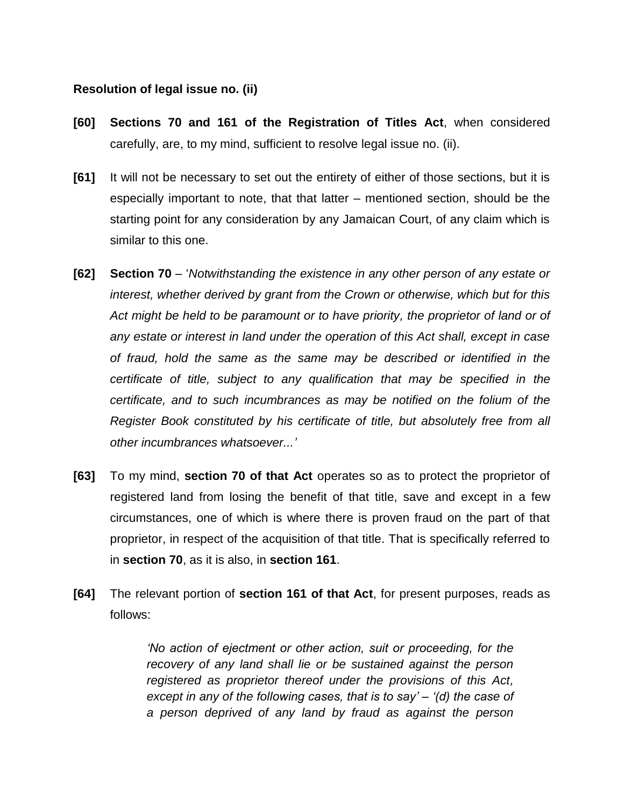#### **Resolution of legal issue no. (ii)**

- **[60] Sections 70 and 161 of the Registration of Titles Act**, when considered carefully, are, to my mind, sufficient to resolve legal issue no. (ii).
- **[61]** It will not be necessary to set out the entirety of either of those sections, but it is especially important to note, that that latter – mentioned section, should be the starting point for any consideration by any Jamaican Court, of any claim which is similar to this one.
- **[62] Section 70** '*Notwithstanding the existence in any other person of any estate or interest, whether derived by grant from the Crown or otherwise, which but for this*  Act might be held to be paramount or to have priority, the proprietor of land or of *any estate or interest in land under the operation of this Act shall, except in case of fraud, hold the same as the same may be described or identified in the certificate of title, subject to any qualification that may be specified in the certificate, and to such incumbrances as may be notified on the folium of the Register Book constituted by his certificate of title, but absolutely free from all other incumbrances whatsoever...'*
- **[63]** To my mind, **section 70 of that Act** operates so as to protect the proprietor of registered land from losing the benefit of that title, save and except in a few circumstances, one of which is where there is proven fraud on the part of that proprietor, in respect of the acquisition of that title. That is specifically referred to in **section 70**, as it is also, in **section 161**.
- **[64]** The relevant portion of **section 161 of that Act**, for present purposes, reads as follows:

*'No action of ejectment or other action, suit or proceeding, for the recovery of any land shall lie or be sustained against the person registered as proprietor thereof under the provisions of this Act, except in any of the following cases, that is to say' – '(d) the case of a person deprived of any land by fraud as against the person*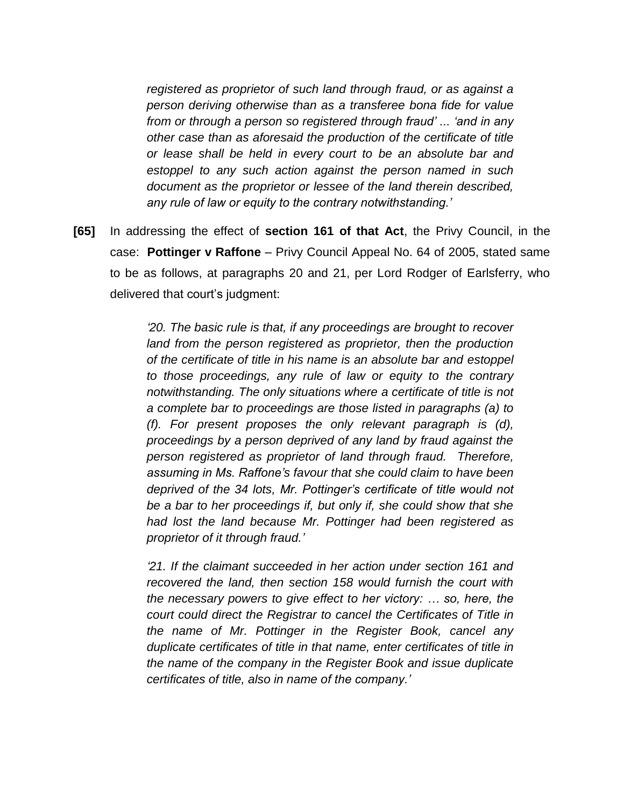*registered as proprietor of such land through fraud, or as against a person deriving otherwise than as a transferee bona fide for value from or through a person so registered through fraud' ... 'and in any other case than as aforesaid the production of the certificate of title or lease shall be held in every court to be an absolute bar and estoppel to any such action against the person named in such document as the proprietor or lessee of the land therein described, any rule of law or equity to the contrary notwithstanding.'*

**[65]** In addressing the effect of **section 161 of that Act**, the Privy Council, in the case: **Pottinger v Raffone** – Privy Council Appeal No. 64 of 2005, stated same to be as follows, at paragraphs 20 and 21, per Lord Rodger of Earlsferry, who delivered that court's judgment:

> *'20. The basic rule is that, if any proceedings are brought to recover land from the person registered as proprietor, then the production of the certificate of title in his name is an absolute bar and estoppel to those proceedings, any rule of law or equity to the contrary notwithstanding. The only situations where a certificate of title is not a complete bar to proceedings are those listed in paragraphs (a) to (f). For present proposes the only relevant paragraph is (d), proceedings by a person deprived of any land by fraud against the person registered as proprietor of land through fraud. Therefore, assuming in Ms. Raffone's favour that she could claim to have been deprived of the 34 lots, Mr. Pottinger's certificate of title would not be a bar to her proceedings if, but only if, she could show that she had lost the land because Mr. Pottinger had been registered as proprietor of it through fraud.'*

> *'21. If the claimant succeeded in her action under section 161 and recovered the land, then section 158 would furnish the court with the necessary powers to give effect to her victory: … so, here, the court could direct the Registrar to cancel the Certificates of Title in the name of Mr. Pottinger in the Register Book, cancel any duplicate certificates of title in that name, enter certificates of title in the name of the company in the Register Book and issue duplicate certificates of title, also in name of the company.'*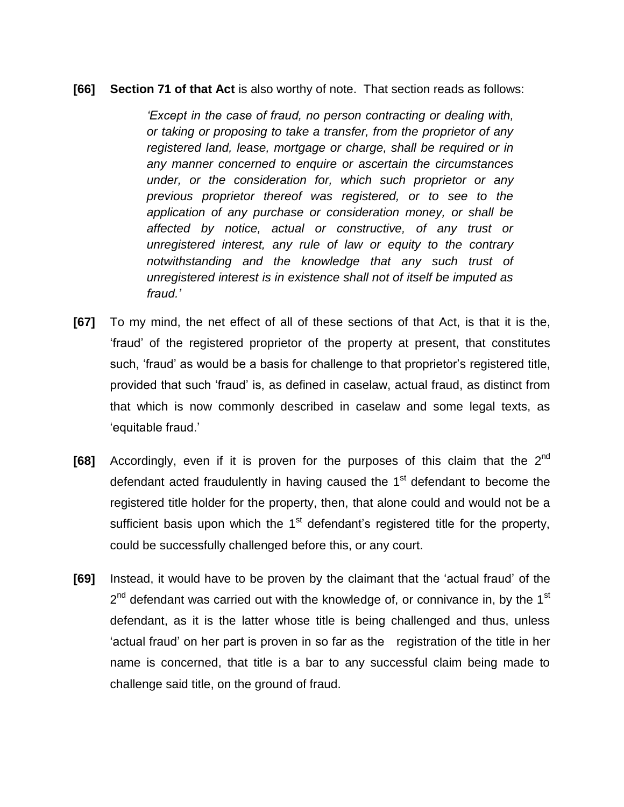#### **[66] Section 71 of that Act** is also worthy of note. That section reads as follows:

*'Except in the case of fraud, no person contracting or dealing with, or taking or proposing to take a transfer, from the proprietor of any registered land, lease, mortgage or charge, shall be required or in any manner concerned to enquire or ascertain the circumstances under, or the consideration for, which such proprietor or any previous proprietor thereof was registered, or to see to the application of any purchase or consideration money, or shall be affected by notice, actual or constructive, of any trust or unregistered interest, any rule of law or equity to the contrary notwithstanding and the knowledge that any such trust of unregistered interest is in existence shall not of itself be imputed as fraud.'*

- **[67]** To my mind, the net effect of all of these sections of that Act, is that it is the, 'fraud' of the registered proprietor of the property at present, that constitutes such, 'fraud' as would be a basis for challenge to that proprietor's registered title, provided that such 'fraud' is, as defined in caselaw, actual fraud, as distinct from that which is now commonly described in caselaw and some legal texts, as 'equitable fraud.'
- [68] Accordingly, even if it is proven for the purposes of this claim that the 2<sup>nd</sup> defendant acted fraudulently in having caused the  $1<sup>st</sup>$  defendant to become the registered title holder for the property, then, that alone could and would not be a sufficient basis upon which the  $1<sup>st</sup>$  defendant's registered title for the property, could be successfully challenged before this, or any court.
- **[69]** Instead, it would have to be proven by the claimant that the 'actual fraud' of the  $2^{nd}$  defendant was carried out with the knowledge of, or connivance in, by the 1<sup>st</sup> defendant, as it is the latter whose title is being challenged and thus, unless 'actual fraud' on her part is proven in so far as the registration of the title in her name is concerned, that title is a bar to any successful claim being made to challenge said title, on the ground of fraud.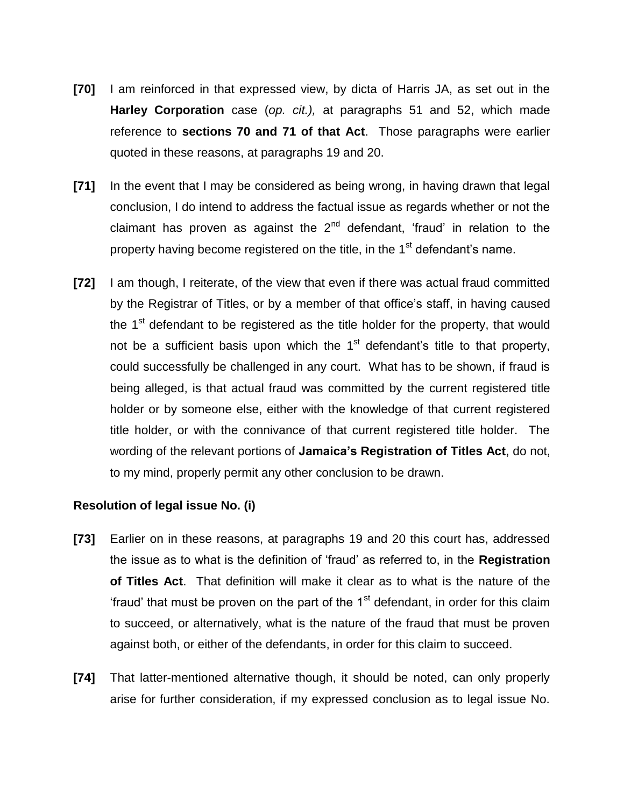- **[70]** I am reinforced in that expressed view, by dicta of Harris JA, as set out in the **Harley Corporation** case (*op. cit.),* at paragraphs 51 and 52, which made reference to **sections 70 and 71 of that Act**. Those paragraphs were earlier quoted in these reasons, at paragraphs 19 and 20.
- **[71]** In the event that I may be considered as being wrong, in having drawn that legal conclusion, I do intend to address the factual issue as regards whether or not the claimant has proven as against the  $2<sup>nd</sup>$  defendant, 'fraud' in relation to the property having become registered on the title, in the 1<sup>st</sup> defendant's name.
- **[72]** I am though, I reiterate, of the view that even if there was actual fraud committed by the Registrar of Titles, or by a member of that office's staff, in having caused the  $1<sup>st</sup>$  defendant to be registered as the title holder for the property, that would not be a sufficient basis upon which the  $1<sup>st</sup>$  defendant's title to that property, could successfully be challenged in any court. What has to be shown, if fraud is being alleged, is that actual fraud was committed by the current registered title holder or by someone else, either with the knowledge of that current registered title holder, or with the connivance of that current registered title holder. The wording of the relevant portions of **Jamaica's Registration of Titles Act**, do not, to my mind, properly permit any other conclusion to be drawn.

## **Resolution of legal issue No. (i)**

- **[73]** Earlier on in these reasons, at paragraphs 19 and 20 this court has, addressed the issue as to what is the definition of 'fraud' as referred to, in the **Registration of Titles Act**. That definition will make it clear as to what is the nature of the 'fraud' that must be proven on the part of the  $1<sup>st</sup>$  defendant, in order for this claim to succeed, or alternatively, what is the nature of the fraud that must be proven against both, or either of the defendants, in order for this claim to succeed.
- **[74]** That latter-mentioned alternative though, it should be noted, can only properly arise for further consideration, if my expressed conclusion as to legal issue No.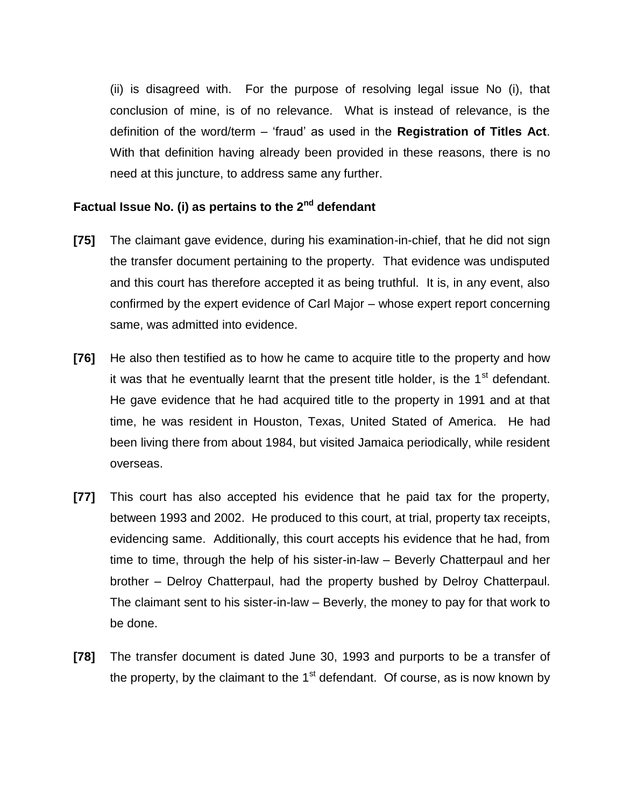(ii) is disagreed with. For the purpose of resolving legal issue No (i), that conclusion of mine, is of no relevance. What is instead of relevance, is the definition of the word/term – 'fraud' as used in the **Registration of Titles Act**. With that definition having already been provided in these reasons, there is no need at this juncture, to address same any further.

# **Factual Issue No. (i) as pertains to the 2nd defendant**

- **[75]** The claimant gave evidence, during his examination-in-chief, that he did not sign the transfer document pertaining to the property. That evidence was undisputed and this court has therefore accepted it as being truthful. It is, in any event, also confirmed by the expert evidence of Carl Major – whose expert report concerning same, was admitted into evidence.
- **[76]** He also then testified as to how he came to acquire title to the property and how it was that he eventually learnt that the present title holder, is the  $1<sup>st</sup>$  defendant. He gave evidence that he had acquired title to the property in 1991 and at that time, he was resident in Houston, Texas, United Stated of America. He had been living there from about 1984, but visited Jamaica periodically, while resident overseas.
- **[77]** This court has also accepted his evidence that he paid tax for the property, between 1993 and 2002. He produced to this court, at trial, property tax receipts, evidencing same. Additionally, this court accepts his evidence that he had, from time to time, through the help of his sister-in-law – Beverly Chatterpaul and her brother – Delroy Chatterpaul, had the property bushed by Delroy Chatterpaul. The claimant sent to his sister-in-law – Beverly, the money to pay for that work to be done.
- **[78]** The transfer document is dated June 30, 1993 and purports to be a transfer of the property, by the claimant to the  $1<sup>st</sup>$  defendant. Of course, as is now known by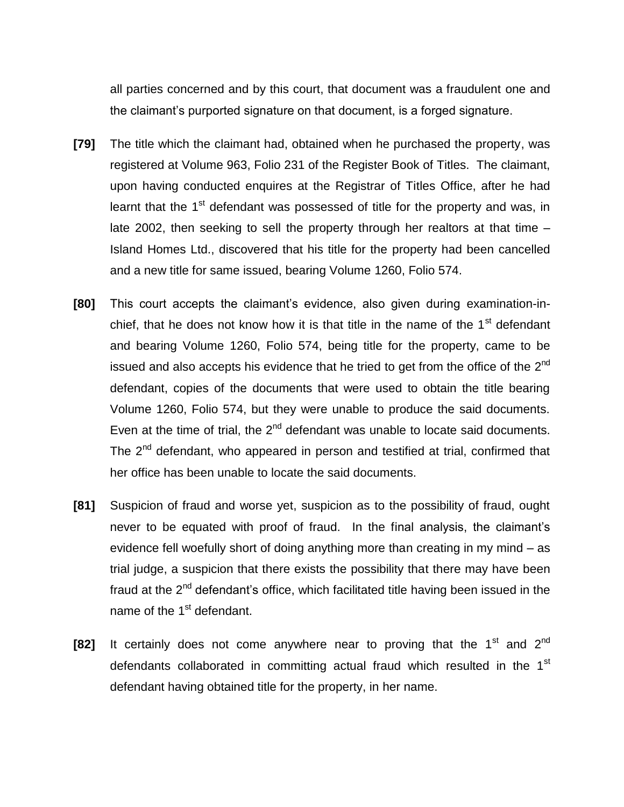all parties concerned and by this court, that document was a fraudulent one and the claimant's purported signature on that document, is a forged signature.

- **[79]** The title which the claimant had, obtained when he purchased the property, was registered at Volume 963, Folio 231 of the Register Book of Titles. The claimant, upon having conducted enquires at the Registrar of Titles Office, after he had learnt that the 1<sup>st</sup> defendant was possessed of title for the property and was, in late 2002, then seeking to sell the property through her realtors at that time – Island Homes Ltd., discovered that his title for the property had been cancelled and a new title for same issued, bearing Volume 1260, Folio 574.
- **[80]** This court accepts the claimant's evidence, also given during examination-inchief, that he does not know how it is that title in the name of the  $1<sup>st</sup>$  defendant and bearing Volume 1260, Folio 574, being title for the property, came to be issued and also accepts his evidence that he tried to get from the office of the  $2^{nd}$ defendant, copies of the documents that were used to obtain the title bearing Volume 1260, Folio 574, but they were unable to produce the said documents. Even at the time of trial, the  $2^{nd}$  defendant was unable to locate said documents. The 2<sup>nd</sup> defendant, who appeared in person and testified at trial, confirmed that her office has been unable to locate the said documents.
- **[81]** Suspicion of fraud and worse yet, suspicion as to the possibility of fraud, ought never to be equated with proof of fraud. In the final analysis, the claimant's evidence fell woefully short of doing anything more than creating in my mind – as trial judge, a suspicion that there exists the possibility that there may have been fraud at the 2<sup>nd</sup> defendant's office, which facilitated title having been issued in the name of the 1<sup>st</sup> defendant.
- **[82]** It certainly does not come anywhere near to proving that the 1<sup>st</sup> and 2<sup>nd</sup> defendants collaborated in committing actual fraud which resulted in the 1<sup>st</sup> defendant having obtained title for the property, in her name.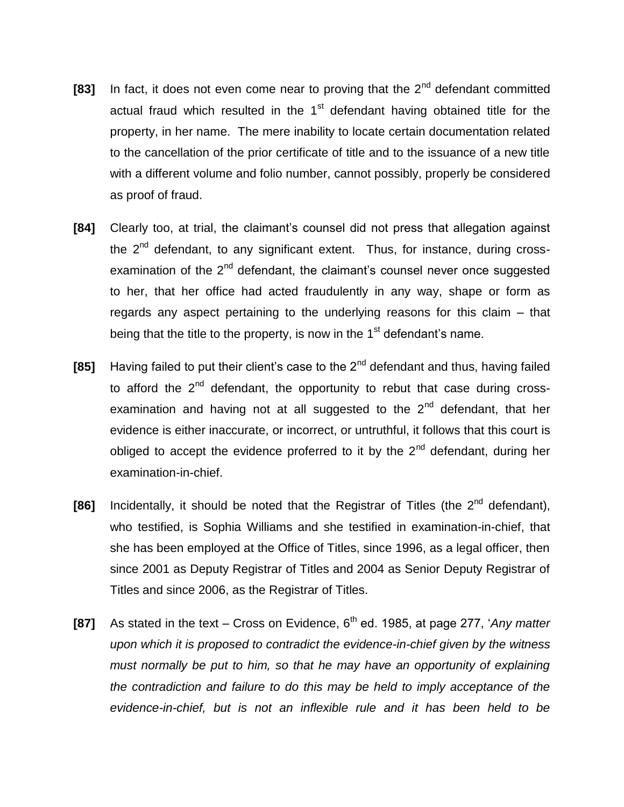- **[83]** In fact, it does not even come near to proving that the 2<sup>nd</sup> defendant committed actual fraud which resulted in the  $1<sup>st</sup>$  defendant having obtained title for the property, in her name. The mere inability to locate certain documentation related to the cancellation of the prior certificate of title and to the issuance of a new title with a different volume and folio number, cannot possibly, properly be considered as proof of fraud.
- **[84]** Clearly too, at trial, the claimant's counsel did not press that allegation against the  $2<sup>nd</sup>$  defendant, to any significant extent. Thus, for instance, during crossexamination of the  $2^{nd}$  defendant, the claimant's counsel never once suggested to her, that her office had acted fraudulently in any way, shape or form as regards any aspect pertaining to the underlying reasons for this claim – that being that the title to the property, is now in the  $1<sup>st</sup>$  defendant's name.
- **[85]** Having failed to put their client's case to the 2<sup>nd</sup> defendant and thus, having failed to afford the  $2<sup>nd</sup>$  defendant, the opportunity to rebut that case during crossexamination and having not at all suggested to the  $2<sup>nd</sup>$  defendant, that her evidence is either inaccurate, or incorrect, or untruthful, it follows that this court is obliged to accept the evidence proferred to it by the  $2<sup>nd</sup>$  defendant, during her examination-in-chief.
- **[86]** Incidentally, it should be noted that the Registrar of Titles (the 2<sup>nd</sup> defendant), who testified, is Sophia Williams and she testified in examination-in-chief, that she has been employed at the Office of Titles, since 1996, as a legal officer, then since 2001 as Deputy Registrar of Titles and 2004 as Senior Deputy Registrar of Titles and since 2006, as the Registrar of Titles.
- **[87]** As stated in the text Cross on Evidence, 6<sup>th</sup> ed. 1985, at page 277, '*Any matter upon which it is proposed to contradict the evidence-in-chief given by the witness must normally be put to him, so that he may have an opportunity of explaining the contradiction and failure to do this may be held to imply acceptance of the evidence-in-chief, but is not an inflexible rule and it has been held to be*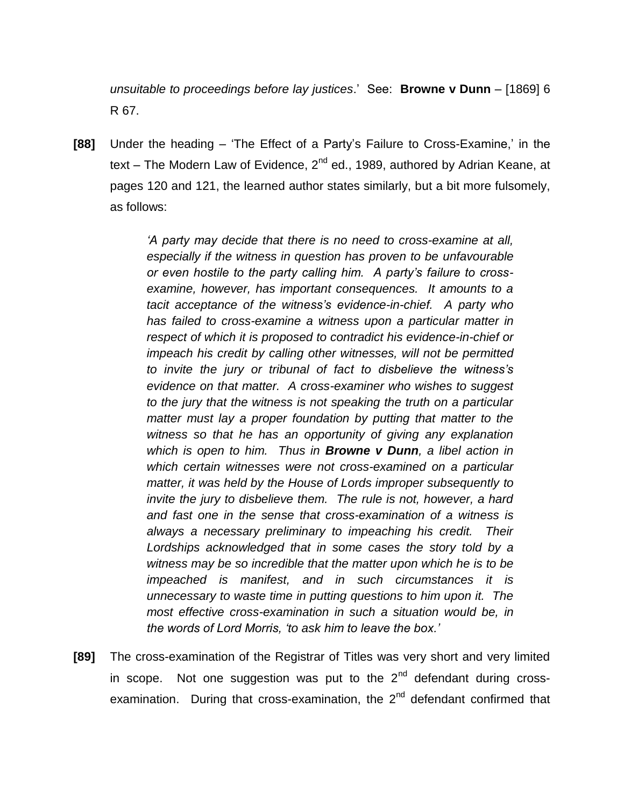*unsuitable to proceedings before lay justices*.' See: **Browne v Dunn** – [1869] 6 R 67.

**[88]** Under the heading – 'The Effect of a Party's Failure to Cross-Examine,' in the text – The Modern Law of Evidence,  $2^{nd}$  ed., 1989, authored by Adrian Keane, at pages 120 and 121, the learned author states similarly, but a bit more fulsomely, as follows:

> *'A party may decide that there is no need to cross-examine at all, especially if the witness in question has proven to be unfavourable or even hostile to the party calling him. A party's failure to crossexamine, however, has important consequences. It amounts to a tacit acceptance of the witness's evidence-in-chief. A party who has failed to cross-examine a witness upon a particular matter in respect of which it is proposed to contradict his evidence-in-chief or impeach his credit by calling other witnesses, will not be permitted to invite the jury or tribunal of fact to disbelieve the witness's evidence on that matter. A cross-examiner who wishes to suggest to the jury that the witness is not speaking the truth on a particular matter must lay a proper foundation by putting that matter to the witness so that he has an opportunity of giving any explanation which is open to him. Thus in Browne v Dunn, a libel action in which certain witnesses were not cross-examined on a particular matter, it was held by the House of Lords improper subsequently to invite the jury to disbelieve them. The rule is not, however, a hard and fast one in the sense that cross-examination of a witness is always a necessary preliminary to impeaching his credit. Their Lordships acknowledged that in some cases the story told by a witness may be so incredible that the matter upon which he is to be impeached is manifest, and in such circumstances it is unnecessary to waste time in putting questions to him upon it. The most effective cross-examination in such a situation would be, in the words of Lord Morris, 'to ask him to leave the box.'*

**[89]** The cross-examination of the Registrar of Titles was very short and very limited in scope. Not one suggestion was put to the  $2^{nd}$  defendant during crossexamination. During that cross-examination, the  $2<sup>nd</sup>$  defendant confirmed that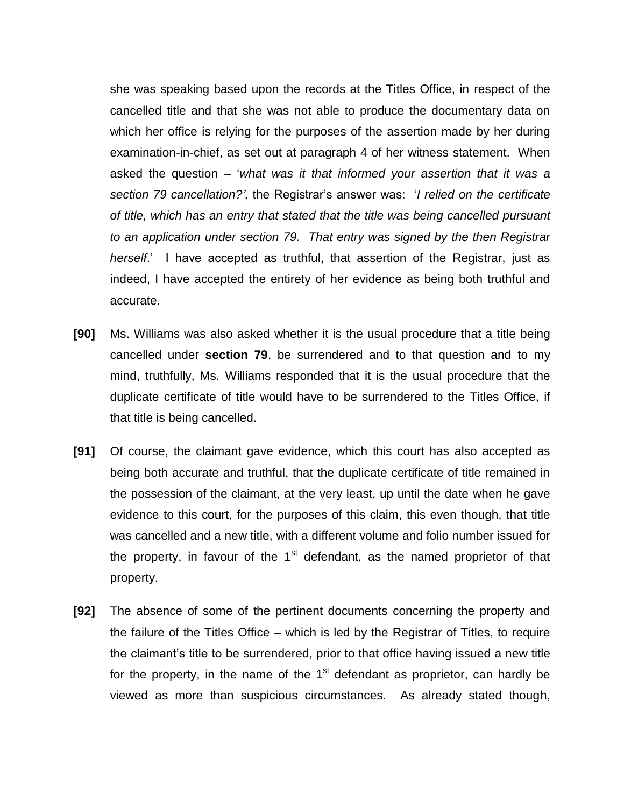she was speaking based upon the records at the Titles Office, in respect of the cancelled title and that she was not able to produce the documentary data on which her office is relying for the purposes of the assertion made by her during examination-in-chief, as set out at paragraph 4 of her witness statement. When asked the question – '*what was it that informed your assertion that it was a section 79 cancellation?',* the Registrar's answer was: '*I relied on the certificate of title, which has an entry that stated that the title was being cancelled pursuant to an application under section 79. That entry was signed by the then Registrar herself*.' I have accepted as truthful, that assertion of the Registrar, just as indeed, I have accepted the entirety of her evidence as being both truthful and accurate.

- **[90]** Ms. Williams was also asked whether it is the usual procedure that a title being cancelled under **section 79**, be surrendered and to that question and to my mind, truthfully, Ms. Williams responded that it is the usual procedure that the duplicate certificate of title would have to be surrendered to the Titles Office, if that title is being cancelled.
- **[91]** Of course, the claimant gave evidence, which this court has also accepted as being both accurate and truthful, that the duplicate certificate of title remained in the possession of the claimant, at the very least, up until the date when he gave evidence to this court, for the purposes of this claim, this even though, that title was cancelled and a new title, with a different volume and folio number issued for the property, in favour of the  $1<sup>st</sup>$  defendant, as the named proprietor of that property.
- **[92]** The absence of some of the pertinent documents concerning the property and the failure of the Titles Office – which is led by the Registrar of Titles, to require the claimant's title to be surrendered, prior to that office having issued a new title for the property, in the name of the  $1<sup>st</sup>$  defendant as proprietor, can hardly be viewed as more than suspicious circumstances. As already stated though,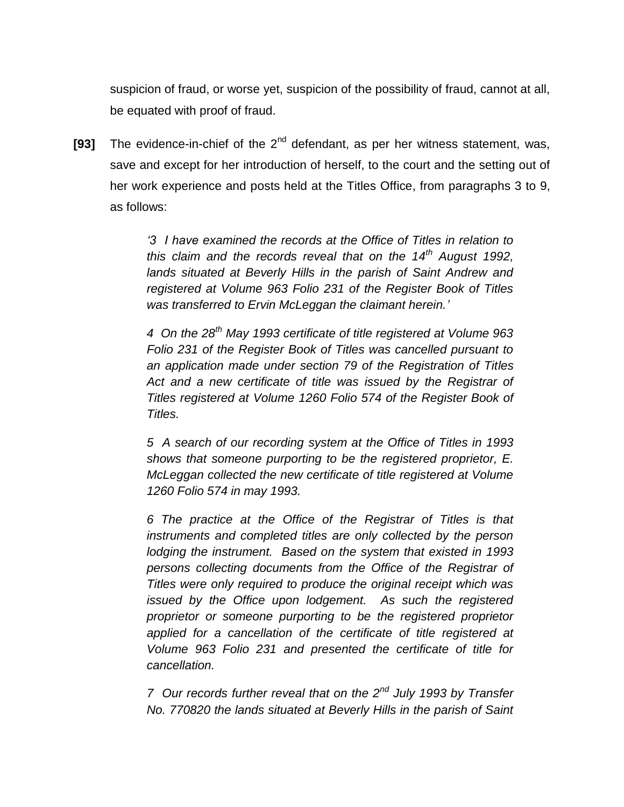suspicion of fraud, or worse yet, suspicion of the possibility of fraud, cannot at all, be equated with proof of fraud.

**[93]** The evidence-in-chief of the 2<sup>nd</sup> defendant, as per her witness statement, was, save and except for her introduction of herself, to the court and the setting out of her work experience and posts held at the Titles Office, from paragraphs 3 to 9, as follows:

> *'3 I have examined the records at the Office of Titles in relation to this claim and the records reveal that on the 14th August 1992, lands situated at Beverly Hills in the parish of Saint Andrew and registered at Volume 963 Folio 231 of the Register Book of Titles was transferred to Ervin McLeggan the claimant herein.'*

> *4 On the 28th May 1993 certificate of title registered at Volume 963 Folio 231 of the Register Book of Titles was cancelled pursuant to an application made under section 79 of the Registration of Titles*  Act and a new certificate of title was issued by the Registrar of *Titles registered at Volume 1260 Folio 574 of the Register Book of Titles.*

> *5 A search of our recording system at the Office of Titles in 1993 shows that someone purporting to be the registered proprietor, E. McLeggan collected the new certificate of title registered at Volume 1260 Folio 574 in may 1993.*

> *6 The practice at the Office of the Registrar of Titles is that instruments and completed titles are only collected by the person lodging the instrument. Based on the system that existed in 1993 persons collecting documents from the Office of the Registrar of Titles were only required to produce the original receipt which was issued by the Office upon lodgement. As such the registered proprietor or someone purporting to be the registered proprietor applied for a cancellation of the certificate of title registered at Volume 963 Folio 231 and presented the certificate of title for cancellation.*

> *7 Our records further reveal that on the 2nd July 1993 by Transfer No. 770820 the lands situated at Beverly Hills in the parish of Saint*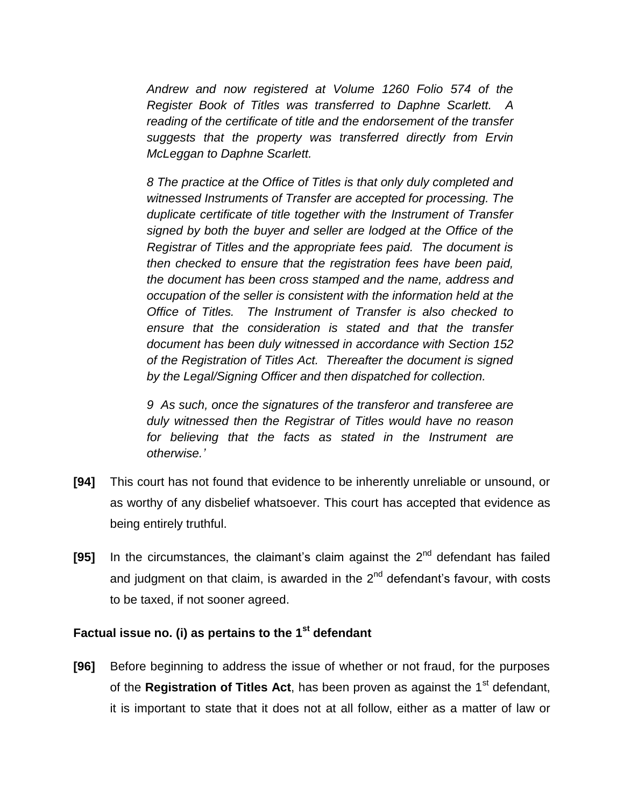*Andrew and now registered at Volume 1260 Folio 574 of the Register Book of Titles was transferred to Daphne Scarlett. A reading of the certificate of title and the endorsement of the transfer suggests that the property was transferred directly from Ervin McLeggan to Daphne Scarlett.*

*8 The practice at the Office of Titles is that only duly completed and witnessed Instruments of Transfer are accepted for processing. The duplicate certificate of title together with the Instrument of Transfer signed by both the buyer and seller are lodged at the Office of the Registrar of Titles and the appropriate fees paid. The document is then checked to ensure that the registration fees have been paid, the document has been cross stamped and the name, address and occupation of the seller is consistent with the information held at the Office of Titles. The Instrument of Transfer is also checked to ensure that the consideration is stated and that the transfer document has been duly witnessed in accordance with Section 152 of the Registration of Titles Act. Thereafter the document is signed by the Legal/Signing Officer and then dispatched for collection.*

*9 As such, once the signatures of the transferor and transferee are duly witnessed then the Registrar of Titles would have no reason for believing that the facts as stated in the Instrument are otherwise.'*

- **[94]** This court has not found that evidence to be inherently unreliable or unsound, or as worthy of any disbelief whatsoever. This court has accepted that evidence as being entirely truthful.
- [95] In the circumstances, the claimant's claim against the 2<sup>nd</sup> defendant has failed and judgment on that claim, is awarded in the  $2<sup>nd</sup>$  defendant's favour, with costs to be taxed, if not sooner agreed.

# **Factual issue no. (i) as pertains to the 1st defendant**

**[96]** Before beginning to address the issue of whether or not fraud, for the purposes of the **Registration of Titles Act**, has been proven as against the 1<sup>st</sup> defendant, it is important to state that it does not at all follow, either as a matter of law or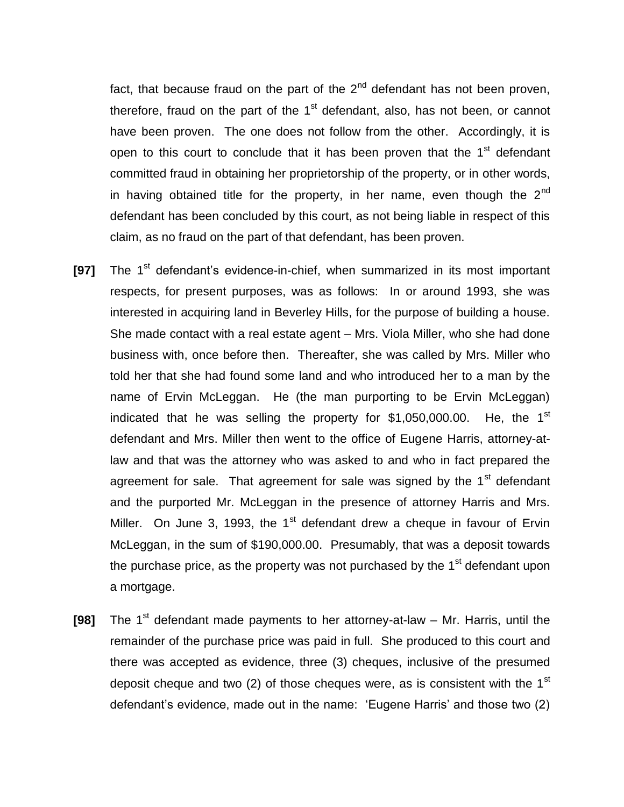fact, that because fraud on the part of the  $2<sup>nd</sup>$  defendant has not been proven, therefore, fraud on the part of the  $1<sup>st</sup>$  defendant, also, has not been, or cannot have been proven. The one does not follow from the other. Accordingly, it is open to this court to conclude that it has been proven that the  $1<sup>st</sup>$  defendant committed fraud in obtaining her proprietorship of the property, or in other words, in having obtained title for the property, in her name, even though the  $2^{nd}$ defendant has been concluded by this court, as not being liable in respect of this claim, as no fraud on the part of that defendant, has been proven.

- **[97]** The 1<sup>st</sup> defendant's evidence-in-chief, when summarized in its most important respects, for present purposes, was as follows: In or around 1993, she was interested in acquiring land in Beverley Hills, for the purpose of building a house. She made contact with a real estate agent – Mrs. Viola Miller, who she had done business with, once before then. Thereafter, she was called by Mrs. Miller who told her that she had found some land and who introduced her to a man by the name of Ervin McLeggan. He (the man purporting to be Ervin McLeggan) indicated that he was selling the property for  $$1,050,000.00$ . He, the  $1<sup>st</sup>$ defendant and Mrs. Miller then went to the office of Eugene Harris, attorney-atlaw and that was the attorney who was asked to and who in fact prepared the agreement for sale. That agreement for sale was signed by the  $1<sup>st</sup>$  defendant and the purported Mr. McLeggan in the presence of attorney Harris and Mrs. Miller. On June 3, 1993, the 1 $st$  defendant drew a cheque in favour of Ervin McLeggan, in the sum of \$190,000.00. Presumably, that was a deposit towards the purchase price, as the property was not purchased by the  $1<sup>st</sup>$  defendant upon a mortgage.
- **[98]** The 1<sup>st</sup> defendant made payments to her attorney-at-law Mr. Harris, until the remainder of the purchase price was paid in full. She produced to this court and there was accepted as evidence, three (3) cheques, inclusive of the presumed deposit cheque and two (2) of those cheques were, as is consistent with the 1<sup>st</sup> defendant's evidence, made out in the name: 'Eugene Harris' and those two (2)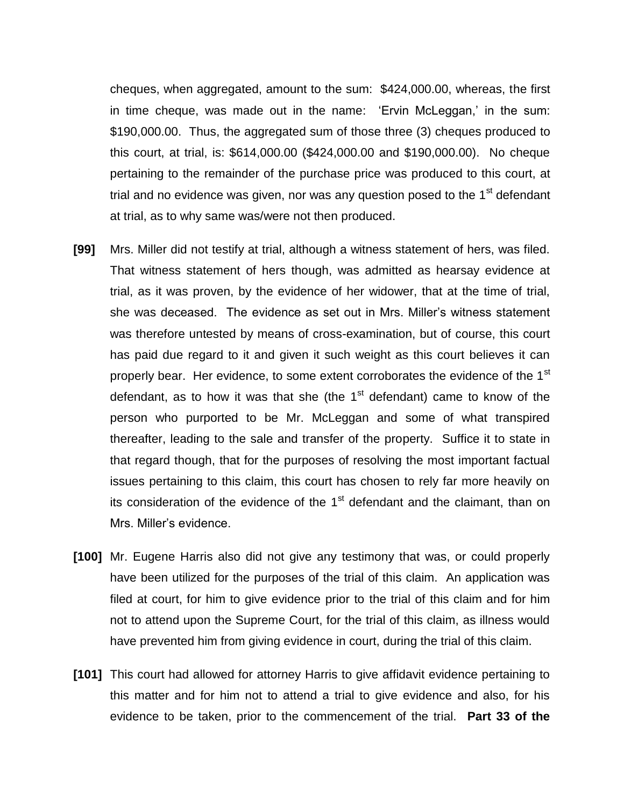cheques, when aggregated, amount to the sum: \$424,000.00, whereas, the first in time cheque, was made out in the name: 'Ervin McLeggan,' in the sum: \$190,000.00. Thus, the aggregated sum of those three (3) cheques produced to this court, at trial, is: \$614,000.00 (\$424,000.00 and \$190,000.00). No cheque pertaining to the remainder of the purchase price was produced to this court, at trial and no evidence was given, nor was any question posed to the  $1<sup>st</sup>$  defendant at trial, as to why same was/were not then produced.

- **[99]** Mrs. Miller did not testify at trial, although a witness statement of hers, was filed. That witness statement of hers though, was admitted as hearsay evidence at trial, as it was proven, by the evidence of her widower, that at the time of trial, she was deceased. The evidence as set out in Mrs. Miller's witness statement was therefore untested by means of cross-examination, but of course, this court has paid due regard to it and given it such weight as this court believes it can properly bear. Her evidence, to some extent corroborates the evidence of the 1<sup>st</sup> defendant, as to how it was that she (the  $1<sup>st</sup>$  defendant) came to know of the person who purported to be Mr. McLeggan and some of what transpired thereafter, leading to the sale and transfer of the property. Suffice it to state in that regard though, that for the purposes of resolving the most important factual issues pertaining to this claim, this court has chosen to rely far more heavily on its consideration of the evidence of the  $1<sup>st</sup>$  defendant and the claimant, than on Mrs. Miller's evidence.
- **[100]** Mr. Eugene Harris also did not give any testimony that was, or could properly have been utilized for the purposes of the trial of this claim. An application was filed at court, for him to give evidence prior to the trial of this claim and for him not to attend upon the Supreme Court, for the trial of this claim, as illness would have prevented him from giving evidence in court, during the trial of this claim.
- **[101]** This court had allowed for attorney Harris to give affidavit evidence pertaining to this matter and for him not to attend a trial to give evidence and also, for his evidence to be taken, prior to the commencement of the trial. **Part 33 of the**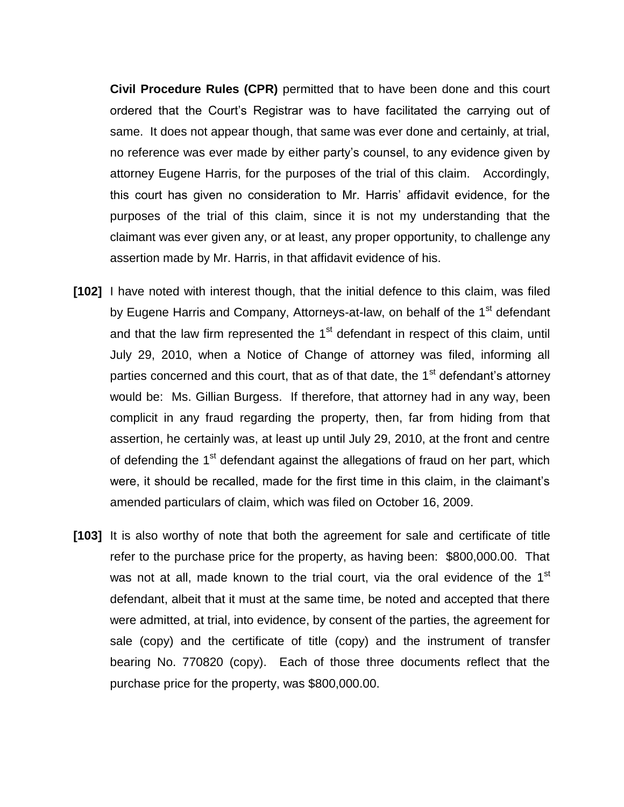**Civil Procedure Rules (CPR)** permitted that to have been done and this court ordered that the Court's Registrar was to have facilitated the carrying out of same. It does not appear though, that same was ever done and certainly, at trial, no reference was ever made by either party's counsel, to any evidence given by attorney Eugene Harris, for the purposes of the trial of this claim. Accordingly, this court has given no consideration to Mr. Harris' affidavit evidence, for the purposes of the trial of this claim, since it is not my understanding that the claimant was ever given any, or at least, any proper opportunity, to challenge any assertion made by Mr. Harris, in that affidavit evidence of his.

- **[102]** I have noted with interest though, that the initial defence to this claim, was filed by Eugene Harris and Company, Attorneys-at-law, on behalf of the 1<sup>st</sup> defendant and that the law firm represented the  $1<sup>st</sup>$  defendant in respect of this claim, until July 29, 2010, when a Notice of Change of attorney was filed, informing all parties concerned and this court, that as of that date, the  $1<sup>st</sup>$  defendant's attorney would be: Ms. Gillian Burgess. If therefore, that attorney had in any way, been complicit in any fraud regarding the property, then, far from hiding from that assertion, he certainly was, at least up until July 29, 2010, at the front and centre of defending the 1<sup>st</sup> defendant against the allegations of fraud on her part, which were, it should be recalled, made for the first time in this claim, in the claimant's amended particulars of claim, which was filed on October 16, 2009.
- **[103]** It is also worthy of note that both the agreement for sale and certificate of title refer to the purchase price for the property, as having been: \$800,000.00. That was not at all, made known to the trial court, via the oral evidence of the 1<sup>st</sup> defendant, albeit that it must at the same time, be noted and accepted that there were admitted, at trial, into evidence, by consent of the parties, the agreement for sale (copy) and the certificate of title (copy) and the instrument of transfer bearing No. 770820 (copy). Each of those three documents reflect that the purchase price for the property, was \$800,000.00.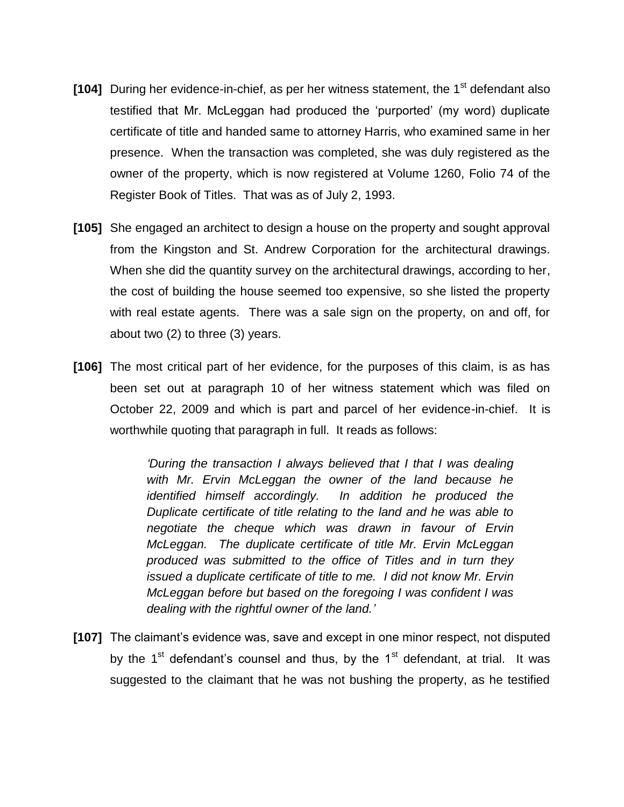- **[104]** During her evidence-in-chief, as per her witness statement, the 1<sup>st</sup> defendant also testified that Mr. McLeggan had produced the 'purported' (my word) duplicate certificate of title and handed same to attorney Harris, who examined same in her presence. When the transaction was completed, she was duly registered as the owner of the property, which is now registered at Volume 1260, Folio 74 of the Register Book of Titles. That was as of July 2, 1993.
- **[105]** She engaged an architect to design a house on the property and sought approval from the Kingston and St. Andrew Corporation for the architectural drawings. When she did the quantity survey on the architectural drawings, according to her, the cost of building the house seemed too expensive, so she listed the property with real estate agents. There was a sale sign on the property, on and off, for about two (2) to three (3) years.
- **[106]** The most critical part of her evidence, for the purposes of this claim, is as has been set out at paragraph 10 of her witness statement which was filed on October 22, 2009 and which is part and parcel of her evidence-in-chief. It is worthwhile quoting that paragraph in full. It reads as follows:

*'During the transaction I always believed that I that I was dealing with Mr. Ervin McLeggan the owner of the land because he identified himself accordingly. In addition he produced the Duplicate certificate of title relating to the land and he was able to negotiate the cheque which was drawn in favour of Ervin McLeggan. The duplicate certificate of title Mr. Ervin McLeggan produced was submitted to the office of Titles and in turn they issued a duplicate certificate of title to me. I did not know Mr. Ervin McLeggan before but based on the foregoing I was confident I was dealing with the rightful owner of the land.'*

**[107]** The claimant's evidence was, save and except in one minor respect, not disputed by the  $1<sup>st</sup>$  defendant's counsel and thus, by the  $1<sup>st</sup>$  defendant, at trial. It was suggested to the claimant that he was not bushing the property, as he testified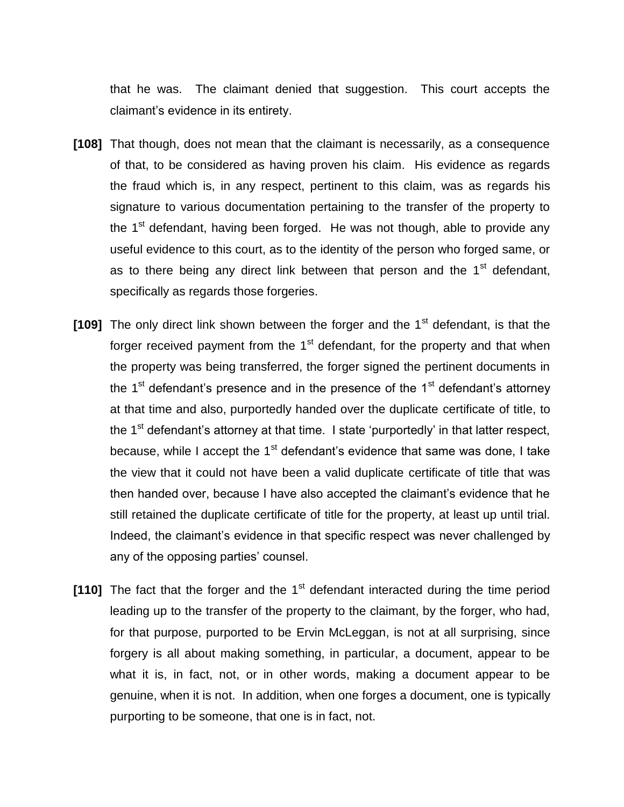that he was. The claimant denied that suggestion. This court accepts the claimant's evidence in its entirety.

- **[108]** That though, does not mean that the claimant is necessarily, as a consequence of that, to be considered as having proven his claim. His evidence as regards the fraud which is, in any respect, pertinent to this claim, was as regards his signature to various documentation pertaining to the transfer of the property to the  $1<sup>st</sup>$  defendant, having been forged. He was not though, able to provide any useful evidence to this court, as to the identity of the person who forged same, or as to there being any direct link between that person and the  $1<sup>st</sup>$  defendant, specifically as regards those forgeries.
- **[109]** The only direct link shown between the forger and the 1<sup>st</sup> defendant, is that the forger received payment from the  $1<sup>st</sup>$  defendant, for the property and that when the property was being transferred, the forger signed the pertinent documents in the  $1<sup>st</sup>$  defendant's presence and in the presence of the  $1<sup>st</sup>$  defendant's attorney at that time and also, purportedly handed over the duplicate certificate of title, to the  $1<sup>st</sup>$  defendant's attorney at that time. I state 'purportedly' in that latter respect, because, while I accept the 1<sup>st</sup> defendant's evidence that same was done, I take the view that it could not have been a valid duplicate certificate of title that was then handed over, because I have also accepted the claimant's evidence that he still retained the duplicate certificate of title for the property, at least up until trial. Indeed, the claimant's evidence in that specific respect was never challenged by any of the opposing parties' counsel.
- **[110]** The fact that the forger and the 1<sup>st</sup> defendant interacted during the time period leading up to the transfer of the property to the claimant, by the forger, who had, for that purpose, purported to be Ervin McLeggan, is not at all surprising, since forgery is all about making something, in particular, a document, appear to be what it is, in fact, not, or in other words, making a document appear to be genuine, when it is not. In addition, when one forges a document, one is typically purporting to be someone, that one is in fact, not.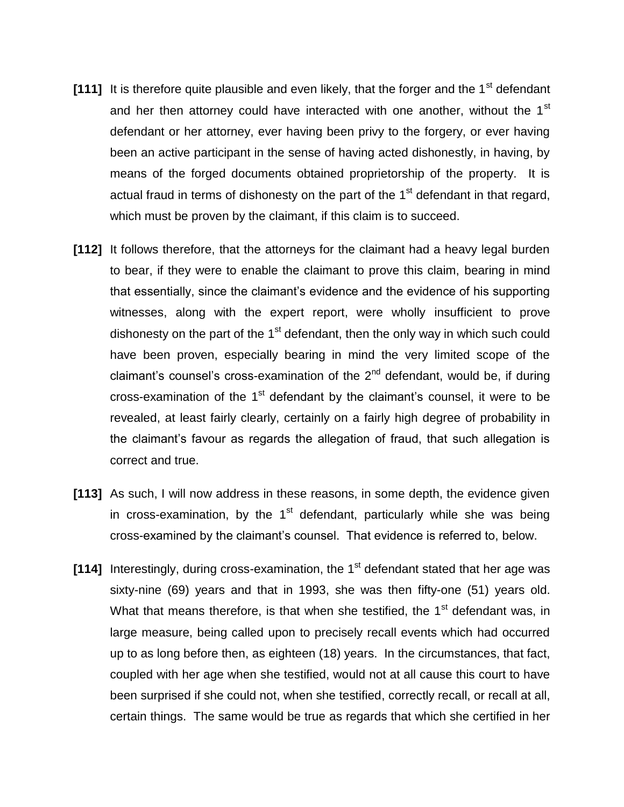- [111] It is therefore quite plausible and even likely, that the forger and the 1<sup>st</sup> defendant and her then attorney could have interacted with one another, without the 1<sup>st</sup> defendant or her attorney, ever having been privy to the forgery, or ever having been an active participant in the sense of having acted dishonestly, in having, by means of the forged documents obtained proprietorship of the property. It is actual fraud in terms of dishonesty on the part of the  $1<sup>st</sup>$  defendant in that regard, which must be proven by the claimant, if this claim is to succeed.
- **[112]** It follows therefore, that the attorneys for the claimant had a heavy legal burden to bear, if they were to enable the claimant to prove this claim, bearing in mind that essentially, since the claimant's evidence and the evidence of his supporting witnesses, along with the expert report, were wholly insufficient to prove dishonesty on the part of the  $1<sup>st</sup>$  defendant, then the only way in which such could have been proven, especially bearing in mind the very limited scope of the claimant's counsel's cross-examination of the  $2<sup>nd</sup>$  defendant, would be, if during cross-examination of the  $1<sup>st</sup>$  defendant by the claimant's counsel, it were to be revealed, at least fairly clearly, certainly on a fairly high degree of probability in the claimant's favour as regards the allegation of fraud, that such allegation is correct and true.
- **[113]** As such, I will now address in these reasons, in some depth, the evidence given in cross-examination, by the  $1<sup>st</sup>$  defendant, particularly while she was being cross-examined by the claimant's counsel. That evidence is referred to, below.
- **[114]** Interestingly, during cross-examination, the 1<sup>st</sup> defendant stated that her age was sixty-nine (69) years and that in 1993, she was then fifty-one (51) years old. What that means therefore, is that when she testified, the  $1<sup>st</sup>$  defendant was, in large measure, being called upon to precisely recall events which had occurred up to as long before then, as eighteen (18) years. In the circumstances, that fact, coupled with her age when she testified, would not at all cause this court to have been surprised if she could not, when she testified, correctly recall, or recall at all, certain things. The same would be true as regards that which she certified in her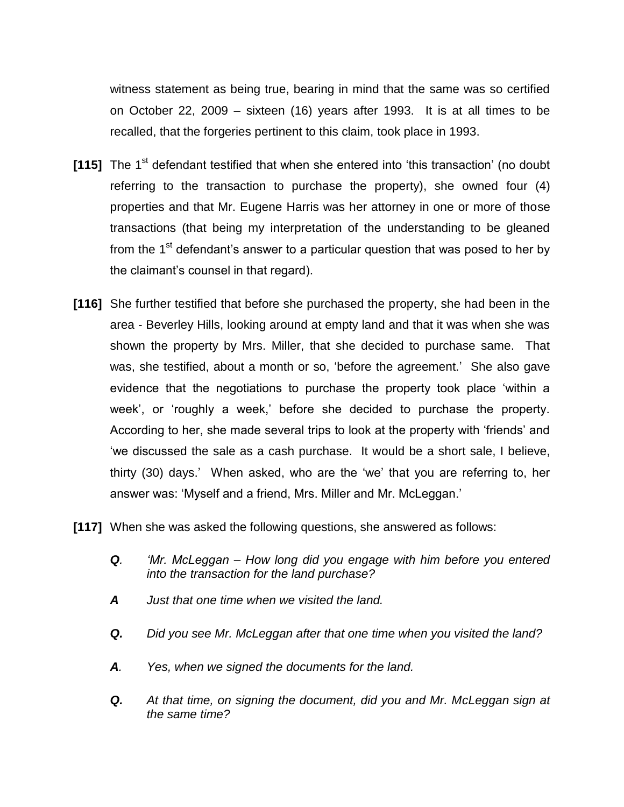witness statement as being true, bearing in mind that the same was so certified on October 22, 2009 – sixteen (16) years after 1993. It is at all times to be recalled, that the forgeries pertinent to this claim, took place in 1993.

- **[115]** The 1<sup>st</sup> defendant testified that when she entered into 'this transaction' (no doubt referring to the transaction to purchase the property), she owned four (4) properties and that Mr. Eugene Harris was her attorney in one or more of those transactions (that being my interpretation of the understanding to be gleaned from the  $1<sup>st</sup>$  defendant's answer to a particular question that was posed to her by the claimant's counsel in that regard).
- **[116]** She further testified that before she purchased the property, she had been in the area - Beverley Hills, looking around at empty land and that it was when she was shown the property by Mrs. Miller, that she decided to purchase same. That was, she testified, about a month or so, 'before the agreement.' She also gave evidence that the negotiations to purchase the property took place 'within a week', or 'roughly a week,' before she decided to purchase the property. According to her, she made several trips to look at the property with 'friends' and 'we discussed the sale as a cash purchase. It would be a short sale, I believe, thirty (30) days.' When asked, who are the 'we' that you are referring to, her answer was: 'Myself and a friend, Mrs. Miller and Mr. McLeggan.'
- **[117]** When she was asked the following questions, she answered as follows:
	- *Q. 'Mr. McLeggan – How long did you engage with him before you entered into the transaction for the land purchase?*
	- *A Just that one time when we visited the land.*
	- *Q. Did you see Mr. McLeggan after that one time when you visited the land?*
	- *A. Yes, when we signed the documents for the land.*
	- *Q. At that time, on signing the document, did you and Mr. McLeggan sign at the same time?*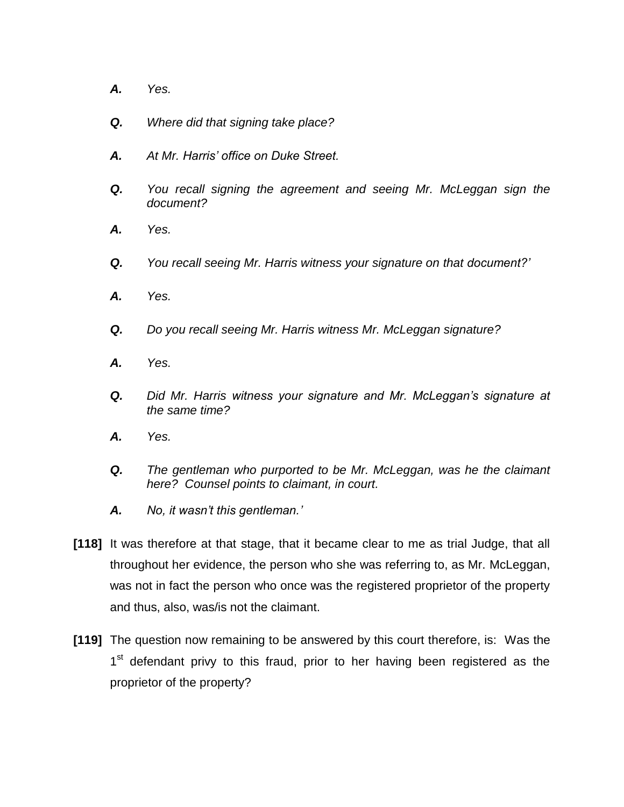- *A. Yes.*
- *Q. Where did that signing take place?*
- *A. At Mr. Harris' office on Duke Street.*
- *Q. You recall signing the agreement and seeing Mr. McLeggan sign the document?*
- *A. Yes.*
- *Q. You recall seeing Mr. Harris witness your signature on that document?'*
- *A. Yes.*
- *Q. Do you recall seeing Mr. Harris witness Mr. McLeggan signature?*
- *A. Yes.*
- *Q. Did Mr. Harris witness your signature and Mr. McLeggan's signature at the same time?*
- *A. Yes.*
- *Q. The gentleman who purported to be Mr. McLeggan, was he the claimant here? Counsel points to claimant, in court.*
- *A. No, it wasn't this gentleman.'*
- **[118]** It was therefore at that stage, that it became clear to me as trial Judge, that all throughout her evidence, the person who she was referring to, as Mr. McLeggan, was not in fact the person who once was the registered proprietor of the property and thus, also, was/is not the claimant.
- **[119]** The question now remaining to be answered by this court therefore, is: Was the 1<sup>st</sup> defendant privy to this fraud, prior to her having been registered as the proprietor of the property?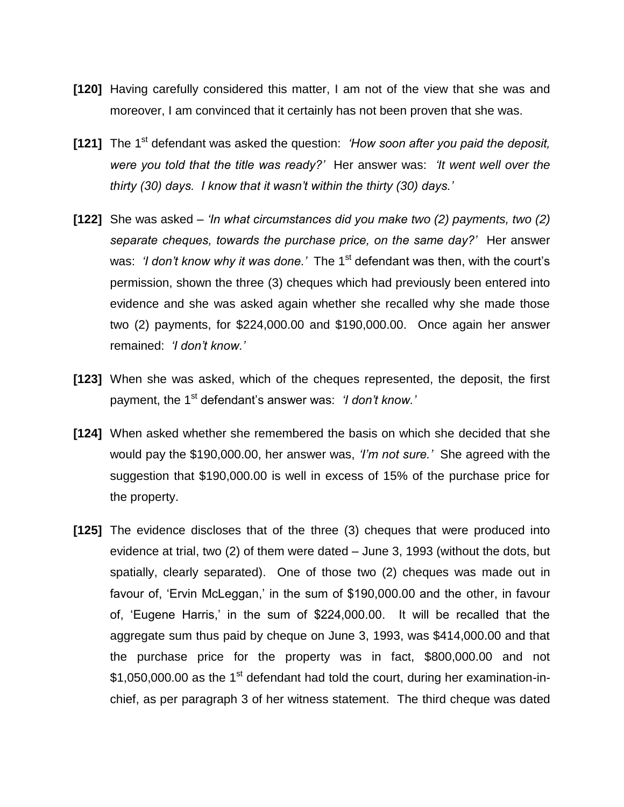- **[120]** Having carefully considered this matter, I am not of the view that she was and moreover, I am convinced that it certainly has not been proven that she was.
- **[121]** The 1<sup>st</sup> defendant was asked the question: *'How soon after you paid the deposit, were you told that the title was ready?'* Her answer was: *'It went well over the thirty (30) days. I know that it wasn't within the thirty (30) days.'*
- **[122]** She was asked *'In what circumstances did you make two (2) payments, two (2) separate cheques, towards the purchase price, on the same day?'* Her answer was: *'I don't know why it was done.'* The 1<sup>st</sup> defendant was then, with the court's permission, shown the three (3) cheques which had previously been entered into evidence and she was asked again whether she recalled why she made those two (2) payments, for \$224,000.00 and \$190,000.00. Once again her answer remained: *'I don't know.'*
- **[123]** When she was asked, which of the cheques represented, the deposit, the first payment, the 1<sup>st</sup> defendant's answer was: *'I don't know.'*
- **[124]** When asked whether she remembered the basis on which she decided that she would pay the \$190,000.00, her answer was, *'I'm not sure.'* She agreed with the suggestion that \$190,000.00 is well in excess of 15% of the purchase price for the property.
- **[125]** The evidence discloses that of the three (3) cheques that were produced into evidence at trial, two (2) of them were dated – June 3, 1993 (without the dots, but spatially, clearly separated). One of those two (2) cheques was made out in favour of, 'Ervin McLeggan,' in the sum of \$190,000.00 and the other, in favour of, 'Eugene Harris,' in the sum of \$224,000.00. It will be recalled that the aggregate sum thus paid by cheque on June 3, 1993, was \$414,000.00 and that the purchase price for the property was in fact, \$800,000.00 and not \$1,050,000.00 as the 1<sup>st</sup> defendant had told the court, during her examination-inchief, as per paragraph 3 of her witness statement. The third cheque was dated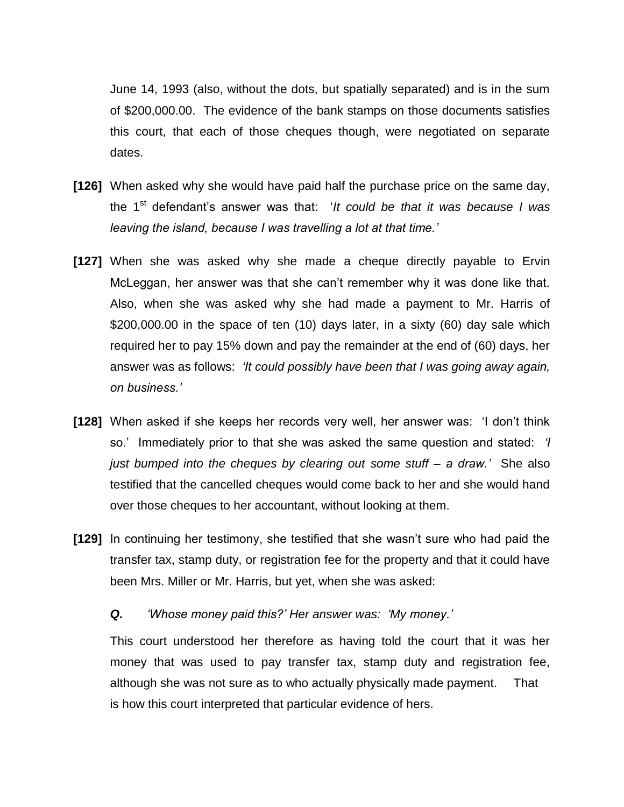June 14, 1993 (also, without the dots, but spatially separated) and is in the sum of \$200,000.00. The evidence of the bank stamps on those documents satisfies this court, that each of those cheques though, were negotiated on separate dates.

- **[126]** When asked why she would have paid half the purchase price on the same day, the 1<sup>st</sup> defendant's answer was that: '*It could be that it was because I was leaving the island, because I was travelling a lot at that time.'*
- **[127]** When she was asked why she made a cheque directly payable to Ervin McLeggan, her answer was that she can't remember why it was done like that. Also, when she was asked why she had made a payment to Mr. Harris of \$200,000.00 in the space of ten (10) days later, in a sixty (60) day sale which required her to pay 15% down and pay the remainder at the end of (60) days, her answer was as follows: *'It could possibly have been that I was going away again, on business.'*
- **[128]** When asked if she keeps her records very well, her answer was: 'I don't think so.' Immediately prior to that she was asked the same question and stated: *'I just bumped into the cheques by clearing out some stuff – a draw.'* She also testified that the cancelled cheques would come back to her and she would hand over those cheques to her accountant, without looking at them.
- **[129]** In continuing her testimony, she testified that she wasn't sure who had paid the transfer tax, stamp duty, or registration fee for the property and that it could have been Mrs. Miller or Mr. Harris, but yet, when she was asked:

#### *Q. 'Whose money paid this?' Her answer was: 'My money.'*

This court understood her therefore as having told the court that it was her money that was used to pay transfer tax, stamp duty and registration fee, although she was not sure as to who actually physically made payment. That is how this court interpreted that particular evidence of hers.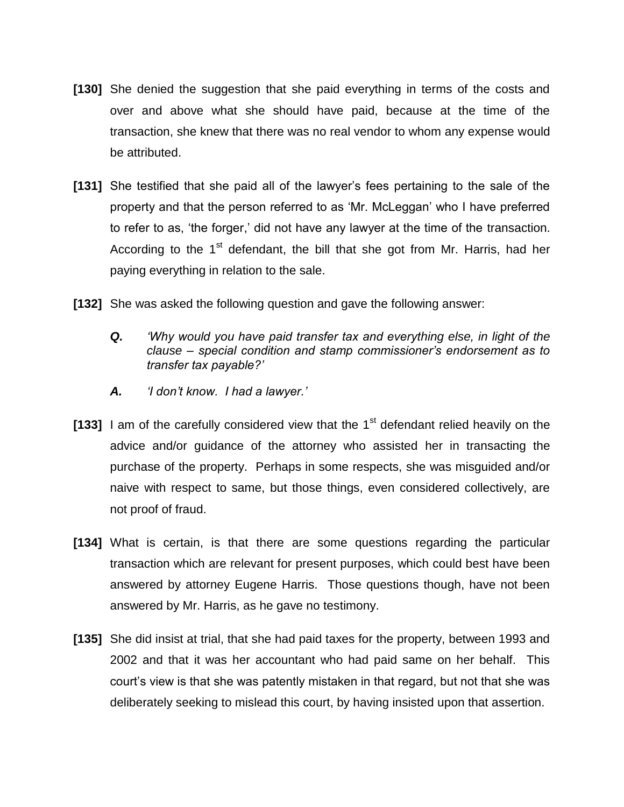- **[130]** She denied the suggestion that she paid everything in terms of the costs and over and above what she should have paid, because at the time of the transaction, she knew that there was no real vendor to whom any expense would be attributed.
- **[131]** She testified that she paid all of the lawyer's fees pertaining to the sale of the property and that the person referred to as 'Mr. McLeggan' who I have preferred to refer to as, 'the forger,' did not have any lawyer at the time of the transaction. According to the  $1<sup>st</sup>$  defendant, the bill that she got from Mr. Harris, had her paying everything in relation to the sale.
- **[132]** She was asked the following question and gave the following answer:
	- *Q. 'Why would you have paid transfer tax and everything else, in light of the clause – special condition and stamp commissioner's endorsement as to transfer tax payable?'*
	- *A. 'I don't know. I had a lawyer.'*
- **[133]** I am of the carefully considered view that the 1<sup>st</sup> defendant relied heavily on the advice and/or guidance of the attorney who assisted her in transacting the purchase of the property. Perhaps in some respects, she was misguided and/or naive with respect to same, but those things, even considered collectively, are not proof of fraud.
- **[134]** What is certain, is that there are some questions regarding the particular transaction which are relevant for present purposes, which could best have been answered by attorney Eugene Harris. Those questions though, have not been answered by Mr. Harris, as he gave no testimony.
- **[135]** She did insist at trial, that she had paid taxes for the property, between 1993 and 2002 and that it was her accountant who had paid same on her behalf. This court's view is that she was patently mistaken in that regard, but not that she was deliberately seeking to mislead this court, by having insisted upon that assertion.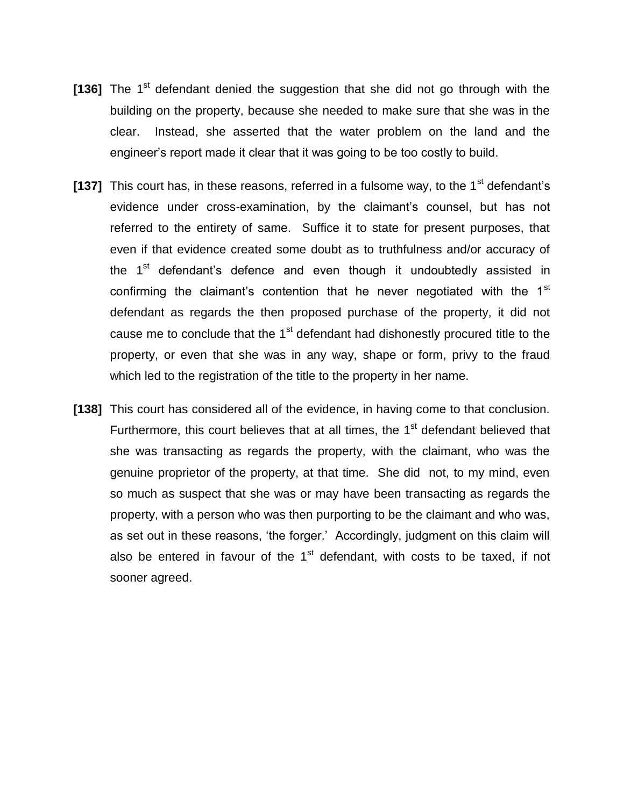- [136] The 1<sup>st</sup> defendant denied the suggestion that she did not go through with the building on the property, because she needed to make sure that she was in the clear. Instead, she asserted that the water problem on the land and the engineer's report made it clear that it was going to be too costly to build.
- [137] This court has, in these reasons, referred in a fulsome way, to the 1<sup>st</sup> defendant's evidence under cross-examination, by the claimant's counsel, but has not referred to the entirety of same. Suffice it to state for present purposes, that even if that evidence created some doubt as to truthfulness and/or accuracy of the 1<sup>st</sup> defendant's defence and even though it undoubtedly assisted in confirming the claimant's contention that he never negotiated with the  $1<sup>st</sup>$ defendant as regards the then proposed purchase of the property, it did not cause me to conclude that the 1<sup>st</sup> defendant had dishonestly procured title to the property, or even that she was in any way, shape or form, privy to the fraud which led to the registration of the title to the property in her name.
- **[138]** This court has considered all of the evidence, in having come to that conclusion. Furthermore, this court believes that at all times, the  $1<sup>st</sup>$  defendant believed that she was transacting as regards the property, with the claimant, who was the genuine proprietor of the property, at that time. She did not, to my mind, even so much as suspect that she was or may have been transacting as regards the property, with a person who was then purporting to be the claimant and who was, as set out in these reasons, 'the forger.' Accordingly, judgment on this claim will also be entered in favour of the  $1<sup>st</sup>$  defendant, with costs to be taxed, if not sooner agreed.